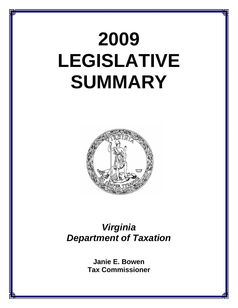# **2009 LEGISLATIVE SUMMARY**



## *Virginia Department of Taxation*

**Janie E. Bowen Tax Commissioner**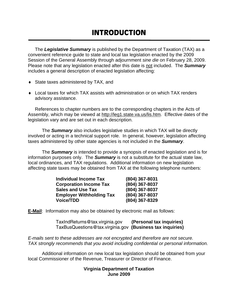The *Legislative Summary* is published by the Department of Taxation (TAX) as a convenient reference guide to state and local tax legislation enacted by the 2009 Session of the General Assembly through adjournment *sine die* on February 28, 2009. Please note that any legislation enacted after this date is not included. The *Summary* includes a general description of enacted legislation affecting:

- ♦ State taxes administered by TAX, and
- ♦ Local taxes for which TAX assists with administration or on which TAX renders advisory assistance.

References to chapter numbers are to the corresponding chapters in the Acts of Assembly, which may be viewed at http://leg1.state.va.us/lis.htm. Effective dates of the legislation vary and are set out in each description.

 The *Summary* also includes legislative studies in which TAX will be directly involved or acting in a technical support role. In general, however, legislation affecting taxes administered by other state agencies is not included in the *Summary*.

 The *Summary* is intended to provide a synopsis of enacted legislation and is for information purposes only. The *Summary* is not a substitute for the actual state law, local ordinances, and TAX regulations. Additional information on new legislation affecting state taxes may be obtained from TAX at the following telephone numbers:

| <b>Individual Income Tax</b>    | (804) 367-8031 |
|---------------------------------|----------------|
| <b>Corporation Income Tax</b>   | (804) 367-8037 |
| <b>Sales and Use Tax</b>        | (804) 367-8037 |
| <b>Employer Withholding Tax</b> | (804) 367-8037 |
| <b>Voice/TDD</b>                | (804) 367-8329 |

**E-Mail**: Information may also be obtained by electronic mail as follows:

TaxIndReturns@tax.virginia.gov **(Personal tax inquiries)** TaxBusQuestions@tax.virginia.gov **(Business tax inquiries)** 

*E-mails sent to these addresses are not encrypted and therefore are not secure. TAX strongly recommends that you avoid including confidential or personal information.*

 Additional information on new local tax legislation should be obtained from your local Commissioner of the Revenue, Treasurer or Director of Finance.

## **Virginia Department of Taxation June 2009**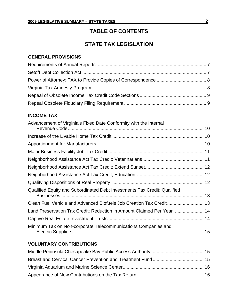## **TABLE OF CONTENTS**

## **STATE TAX LEGISLATION**

## **GENERAL PROVISIONS**

## **INCOME TAX**

| Advancement of Virginia's Fixed Date Conformity with the Internal        |  |
|--------------------------------------------------------------------------|--|
|                                                                          |  |
|                                                                          |  |
|                                                                          |  |
|                                                                          |  |
|                                                                          |  |
|                                                                          |  |
|                                                                          |  |
|                                                                          |  |
| Qualified Equity and Subordinated Debt Investments Tax Credit; Qualified |  |
|                                                                          |  |
| Land Preservation Tax Credit; Reduction in Amount Claimed Per Year  14   |  |
|                                                                          |  |
| Minimum Tax on Non-corporate Telecommunications Companies and            |  |

## **VOLUNTARY CONTRIBUTIONS**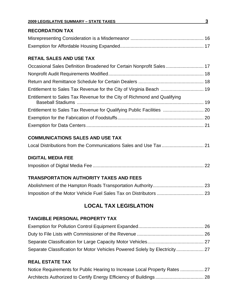#### **2009 LEGISLATIVE SUMMARY – STATE TAXES 3**

## **RECORDATION TAX**

## **RETAIL SALES AND USE TAX**

| Occasional Sales Definition Broadened for Certain Nonprofit Sales 17     |  |
|--------------------------------------------------------------------------|--|
|                                                                          |  |
|                                                                          |  |
|                                                                          |  |
| Entitlement to Sales Tax Revenue for the City of Richmond and Qualifying |  |
| Entitlement to Sales Tax Revenue for Qualifying Public Facilities  20    |  |
|                                                                          |  |
|                                                                          |  |

## **COMMUNICATIONS SALES AND USE TAX**

|--|--|--|--|

## **DIGITAL MEDIA FEE**

|--|--|--|

## **TRANSPORTATION AUTHORITY TAXES AND FEES**

## **LOCAL TAX LEGISLATION**

## **TANGIBLE PERSONAL PROPERTY TAX**

| Separate Classification for Motor Vehicles Powered Solely by Electricity 27 |  |
|-----------------------------------------------------------------------------|--|

## **REAL ESTATE TAX**

| Notice Requirements for Public Hearing to Increase Local Property Rates  27 |  |
|-----------------------------------------------------------------------------|--|
|                                                                             |  |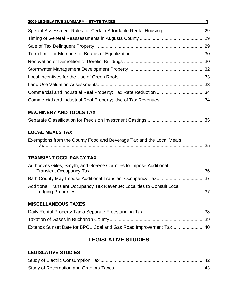## **2009 LEGISLATIVE SUMMARY – STATE TAXES 4**

## **MACHINERY AND TOOLS TAX**

## **LOCAL MEALS TAX**

| Exemptions from the County Food and Beverage Tax and the Local Meals |  |
|----------------------------------------------------------------------|--|
|                                                                      |  |

## **TRANSIENT OCCUPANCY TAX**

| Authorizes Giles, Smyth, and Greene Counties to Impose Additional       |  |
|-------------------------------------------------------------------------|--|
|                                                                         |  |
| Additional Transient Occupancy Tax Revenue; Localities to Consult Local |  |

## **MISCELLANEOUS TAXES**

## **LEGISLATIVE STUDIES**

## **LEGISLATIVE STUDIES**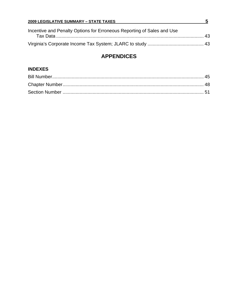| <b>2009 LEGISLATIVE SUMMARY - STATE TAXES</b>                          | n          |
|------------------------------------------------------------------------|------------|
| Incentive and Penalty Options for Erroneous Reporting of Sales and Use | $\Delta$ 3 |
|                                                                        |            |

## **APPENDICES**

## **INDEXES**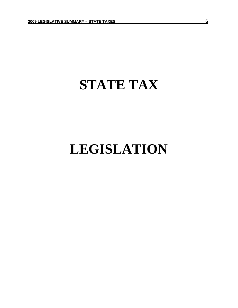## **STATE TAX**

## **LEGISLATION**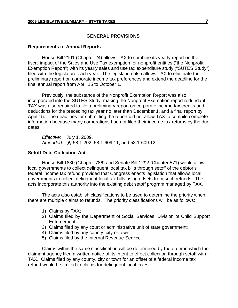#### **GENERAL PROVISIONS**

#### **Requirements of Annual Reports**

House Bill 2101 (Chapter 24) allows TAX to combine its yearly report on the fiscal impact of the Sales and Use Tax exemption for nonprofit entities ("the Nonprofit Exemption Report") with its yearly sales and use tax expenditure study ("SUTES Study") filed with the legislature each year. The legislation also allows TAX to eliminate the preliminary report on corporate income tax preferences and extend the deadline for the final annual report from April 15 to October 1.

Previously, the substance of the Nonprofit Exemption Report was also incorporated into the SUTES Study, making the Nonprofit Exemption report redundant. TAX was also required to file a preliminary report on corporate income tax credits and deductions for the preceding tax year no later than December 1, and a final report by April 15. The deadlines for submitting the report did not allow TAX to compile complete information because many corporations had not filed their income tax returns by the due dates.

*Effective:* July 1, 2009. *Amended:* §§ 58.1-202, 58.1-609.11, and 58.1-609.12.

#### **Setoff Debt Collection Act**

House Bill 1830 (Chapter 786) and Senate Bill 1292 (Chapter 571) would allow local governments to collect delinquent local tax bills through setoff of the debtor's federal income tax refund provided that Congress enacts legislation that allows local governments to collect delinquent local tax bills using offsets from such refunds. The acts incorporate this authority into the existing debt setoff program managed by TAX.

The acts also establish classifications to be used to determine the priority when there are multiple claims to refunds. The priority classifications will be as follows:

- 1) Claims by TAX;
- 2) Claims filed by the Department of Social Services, Division of Child Support Enforcement;
- 3) Claims filed by any court or administrative unit of state government;
- 4) Claims filed by any county, city or town;
- 5) Claims filed by the Internal Revenue Service.

Claims within the same classification will be determined by the order in which the claimant agency filed a written notice of its intent to effect collection through setoff with TAX. Claims filed by any county, city or town for an offset of a federal income tax refund would be limited to claims for delinquent local taxes.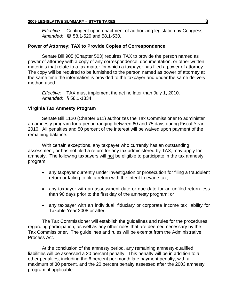*Effective:* Contingent upon enactment of authorizing legislation by Congress. *Amended:* §§ 58.1-520 and 58.1-530.

#### **Power of Attorney; TAX to Provide Copies of Correspondence**

Senate Bill 905 (Chapter 503) requires TAX to provide the person named as power of attorney with a copy of any correspondence, documentation, or other written materials that relate to a tax matter for which a taxpayer has filed a power of attorney. The copy will be required to be furnished to the person named as power of attorney at the same time the information is provided to the taxpayer and under the same delivery method used.

*Effective:* TAX must implement the act no later than July 1, 2010. *Amended:* § 58.1-1834

#### **Virginia Tax Amnesty Program**

Senate Bill 1120 (Chapter 611) authorizes the Tax Commissioner to administer an amnesty program for a period ranging between 60 and 75 days during Fiscal Year 2010. All penalties and 50 percent of the interest will be waived upon payment of the remaining balance.

With certain exceptions, any taxpayer who currently has an outstanding assessment, or has not filed a return for any tax administered by TAX, may apply for amnesty. The following taxpayers will not be eligible to participate in the tax amnesty program:

- any taxpayer currently under investigation or prosecution for filing a fraudulent return or failing to file a return with the intent to evade tax;
- any taxpayer with an assessment date or due date for an unfiled return less than 90 days prior to the first day of the amnesty program; or
- any taxpayer with an individual, fiduciary or corporate income tax liability for Taxable Year 2008 or after.

The Tax Commissioner will establish the guidelines and rules for the procedures regarding participation, as well as any other rules that are deemed necessary by the Tax Commissioner. The guidelines and rules will be exempt from the Administrative Process Act.

At the conclusion of the amnesty period, any remaining amnesty-qualified liabilities will be assessed a 20 percent penalty. This penalty will be in addition to all other penalties, including the 6 percent per month late payment penalty, with a maximum of 30 percent, and the 20 percent penalty assessed after the 2003 amnesty program, if applicable.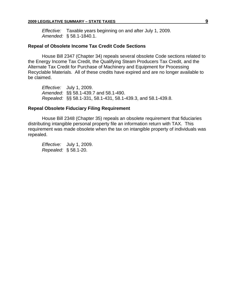*Effective:* Taxable years beginning on and after July 1, 2009. *Amended:* § 58.1-1840.1.

#### **Repeal of Obsolete Income Tax Credit Code Sections**

House Bill 2347 (Chapter 34) repeals several obsolete Code sections related to the Energy Income Tax Credit, the Qualifying Steam Producers Tax Credit, and the Alternate Tax Credit for Purchase of Machinery and Equipment for Processing Recyclable Materials. All of these credits have expired and are no longer available to be claimed.

*Effective:* July 1, 2009. *Amended:* §§ 58.1-439.7 and 58.1-490. *Repealed:* §§ 58.1-331, 58.1-431, 58.1-439.3, and 58.1-439.8.

#### **Repeal Obsolete Fiduciary Filing Requirement**

House Bill 2348 (Chapter 35) repeals an obsolete requirement that fiduciaries distributing intangible personal property file an information return with TAX. This requirement was made obsolete when the tax on intangible property of individuals was repealed.

*Effective:* July 1, 2009. *Repealed:* § 58.1-20.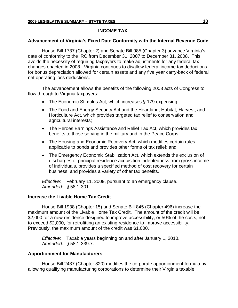## **INCOME TAX**

## **Advancement of Virginia's Fixed Date Conformity with the Internal Revenue Code**

House Bill 1737 (Chapter 2) and Senate Bill 985 (Chapter 3) advance Virginia's date of conformity to the IRC from December 31, 2007 to December 31, 2008. This avoids the necessity of requiring taxpayers to make adjustments for any federal tax changes enacted in 2008. Virginia continues to disallow federal income tax deductions for bonus depreciation allowed for certain assets and any five year carry-back of federal net operating loss deductions.

The advancement allows the benefits of the following 2008 acts of Congress to flow through to Virginia taxpayers:

- The Economic Stimulus Act, which increases § 179 expensing;
- The Food and Energy Security Act and the Heartland, Habitat, Harvest, and Horticulture Act, which provides targeted tax relief to conservation and agricultural interests;
- The Heroes Earnings Assistance and Relief Tax Act, which provides tax benefits to those serving in the military and in the Peace Corps;
- The Housing and Economic Recovery Act, which modifies certain rules applicable to bonds and provides other forms of tax relief; and
- The Emergency Economic Stabilization Act, which extends the exclusion of discharges of principal residence acquisition indebtedness from gross income of individuals, provides a specified method of cost recovery for certain business, and provides a variety of other tax benefits.

*Effective:* February 11, 2009, pursuant to an emergency clause. *Amended:* § 58.1-301.

## **Increase the Livable Home Tax Credit**

House Bill 1938 (Chapter 15) and Senate Bill 845 (Chapter 496) increase the maximum amount of the Livable Home Tax Credit. The amount of the credit will be \$2,000 for a new residence designed to improve accessibility, or 50% of the costs, not to exceed \$2,000, for retrofitting an existing residence to improve accessibility. Previously, the maximum amount of the credit was \$1,000.

*Effective:* Taxable years beginning on and after January 1, 2010. *Amended:* § 58.1-339.7.

## **Apportionment for Manufacturers**

House Bill 2437 (Chapter 820) modifies the corporate apportionment formula by allowing qualifying manufacturing corporations to determine their Virginia taxable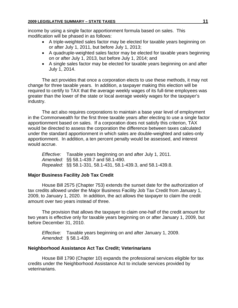income by using a single factor apportionment formula based on sales. This modification will be phased in as follows:

- A triple-weighted sales factor may be elected for taxable years beginning on or after July 1, 2011, but before July 1, 2013;
- A quadruple-weighted sales factor may be elected for taxable years beginning on or after July 1, 2013, but before July 1, 2014; and
- A single sales factor may be elected for taxable years beginning on and after July 1, 2014.

The act provides that once a corporation elects to use these methods, it may not change for three taxable years. In addition, a taxpayer making this election will be required to certify to TAX that the average weekly wages of its full-time employees was greater than the lower of the state or local average weekly wages for the taxpayer's industry.

The act also requires corporations to maintain a base year level of employment in the Commonwealth for the first three taxable years after electing to use a single factor apportionment based on sales. If a corporation does not satisfy this criterion, TAX would be directed to assess the corporation the difference between taxes calculated under the standard apportionment in which sales are double-weighted and sales-only apportionment. In addition, a ten percent penalty would be assessed, and interest would accrue.

*Effective:* Taxable years beginning on and after July 1, 2011. *Amended:* §§ 58.1-439.7 and 58.1-490. *Repealed:* §§ 58.1-331, 58.1-431, 58.1-439.3, and 58.1-439.8.

## **Major Business Facility Job Tax Credit**

House Bill 2575 (Chapter 753) extends the sunset date for the authorization of tax credits allowed under the Major Business Facility Job Tax Credit from January 1, 2009, to January 1, 2020. In addition, the act allows the taxpayer to claim the credit amount over two years instead of three.

The provision that allows the taxpayer to claim one-half of the credit amount for two years is effective only for taxable years beginning on or after January 1, 2009, but before December 31, 2010.

*Effective:* Taxable years beginning on and after January 1, 2009. *Amended:* § 58.1-439.

## **Neighborhood Assistance Act Tax Credit; Veterinarians**

House Bill 1790 (Chapter 10) expands the professional services eligible for tax credits under the Neighborhood Assistance Act to include services provided by veterinarians.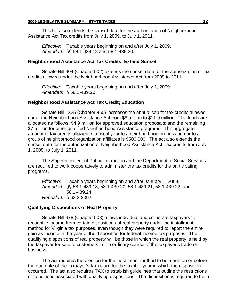This bill also extends the sunset date for the authorization of Neighborhood Assistance Act Tax credits from July 1, 2009, to July 1, 2011.

*Effective:* Taxable years beginning on and after July 1, 2009. *Amended:* §§ 58.1-439.18 and 58.1-439.20.

#### **Neighborhood Assistance Act Tax Credits; Extend Sunset**

Senate Bill 904 (Chapter 502) extends the sunset date for the authorization of tax credits allowed under the Neighborhood Assistance Act from 2009 to 2011.

*Effective:* Taxable years beginning on and after July 1, 2009. *Amended:* § 58.1-439.20.

#### **Neighborhood Assistance Act Tax Credit; Education**

Senate Bill 1325 (Chapter 850) increases the annual cap for tax credits allowed under the Neighborhood Assistance Act from \$8 million to \$11.9 million. The funds are allocated as follows: \$4.9 million for approved education proposals; and the remaining \$7 million for other qualified Neighborhood Assistance programs. The aggregate amount of tax credits allowed in a fiscal year to a neighborhood organization or to a group of neighborhood organization affiliates is \$500,000. The act also extends the sunset date for the authorization of Neighborhood Assistance Act Tax credits from July 1, 2009, to July 1, 2011.

The Superintendent of Public Instruction and the Department of Social Services are required to work cooperatively to administer the tax credits for the participating programs.

*Effective:* Taxable years beginning on and after January 1, 2009. *Amended:* §§ 58.1-439.18, 58.1-439.20, 58.1-439.21, 58.1-439.22, and 58.1-439.24. *Repealed:* § 63.2-2002

#### **Qualifying Dispositions of Real Property**

Senate Bill 978 (Chapter 508) allows individual and corporate taxpayers to recognize income from certain dispositions of real property under the installment method for Virginia tax purposes, even though they were required to report the entire gain as income in the year of the disposition for federal income tax purposes. The qualifying dispositions of real property will be those in which the real property is held by the taxpayer for sale to customers in the ordinary course of the taxpayer's trade or business.

The act requires the election for the installment method to be made on or before the due date of the taxpayer's tax return for the taxable year in which the disposition occurred. The act also requires TAX to establish guidelines that outline the restrictions or conditions associated with qualifying dispositions. The disposition is required to be in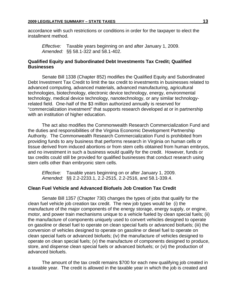accordance with such restrictions or conditions in order for the taxpayer to elect the installment method.

*Effective:* Taxable years beginning on and after January 1, 2009. *Amended:* §§ 58.1-322 and 58.1-402.

#### **Qualified Equity and Subordinated Debt Investments Tax Credit; Qualified Businesses**

Senate Bill 1338 (Chapter 852) modifies the Qualified Equity and Subordinated Debt Investment Tax Credit to limit the tax credit to investments in businesses related to advanced computing, advanced materials, advanced manufacturing, agricultural technologies, biotechnology, electronic device technology, energy, environmental technology, medical device technology, nanotechnology, or any similar technologyrelated field. One-half of the \$3 million authorized annually is reserved for "commercialization investment" that supports research developed at or in partnership with an institution of higher education.

The act also modifies the Commonwealth Research Commercialization Fund and the duties and responsibilities of the Virginia Economic Development Partnership Authority. The Commonwealth Research Commercialization Fund is prohibited from providing funds to any business that performs research in Virginia on human cells or tissue derived from induced abortions or from stem cells obtained from human embryos, and no investment in such a business would qualify for the credit. However, funds or tax credits could still be provided for qualified businesses that conduct research using stem cells other than embryonic stem cells.

*Effective:* Taxable years beginning on or after January 1, 2009. *Amended:* §§ 2.2-2233.1, 2.2-2515, 2.2-2516, and 58.1-339.4.

#### **Clean Fuel Vehicle and Advanced Biofuels Job Creation Tax Credit**

Senate Bill 1357 (Chapter 730) changes the types of jobs that qualify for the clean fuel vehicle job creation tax credit. The new job types would be (i) the manufacture of the major components of the energy storage, energy supply, or engine, motor, and power train mechanisms unique to a vehicle fueled by clean special fuels; (ii) the manufacture of components uniquely used to convert vehicles designed to operate on gasoline or diesel fuel to operate on clean special fuels or advanced biofuels; (iii) the conversion of vehicles designed to operate on gasoline or diesel fuel to operate on clean special fuels or advanced biofuels; (iv) the manufacture of vehicles designed to operate on clean special fuels; (v) the manufacture of components designed to produce, store, and dispense clean special fuels or advanced biofuels; or (vi) the production of advanced biofuels.

The amount of the tax credit remains \$700 for each new qualifying job created in a taxable year. The credit is allowed in the taxable year in which the job is created and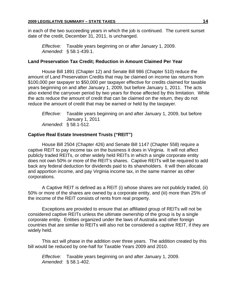in each of the two succeeding years in which the job is continued. The current sunset date of the credit, December 31, 2011, is unchanged.

*Effective:* Taxable years beginning on or after January 1, 2009. *Amended:* § 58.1-439.1.

#### **Land Preservation Tax Credit; Reduction in Amount Claimed Per Year**

House Bill 1891 (Chapter 12) and Senate Bill 986 (Chapter 510) reduce the amount of Land Preservation Credits that may be claimed on income tax returns from \$100,000 per taxpayer to \$50,000 per taxpayer effective for credits claimed for taxable years beginning on and after January 1, 2009, but before January 1, 2011. The acts also extend the carryover period by two years for those affected by this limitation. While the acts reduce the amount of credit that can be claimed on the return, they do not reduce the amount of credit that may be earned or held by the taxpayer.

*Effective:* Taxable years beginning on and after January 1, 2009, but before January 1, 2011 *Amended:* § 58.1-512.

## **Captive Real Estate Investment Trusts ("REIT")**

House Bill 2504 (Chapter 426) and Senate Bill 1147 (Chapter 558) require a captive REIT to pay income tax on the business it does in Virginia. It will not affect publicly traded REITs, or other widely held REITs in which a single corporate entity does not own 50% or more of the REIT's shares. Captive REITs will be required to add back any federal deduction for dividends paid to its shareholders. It will then allocate and apportion income, and pay Virginia income tax, in the same manner as other corporations.

A Captive REIT is defined as a REIT (i) whose shares are not publicly traded, (ii) 50% or more of the shares are owned by a corporate entity, and (iii) more than 25% of the income of the REIT consists of rents from real property.

Exceptions are provided to ensure that an affiliated group of REITs will not be considered captive REITs unless the ultimate ownership of the group is by a single corporate entity. Entities organized under the laws of Australia and other foreign countries that are similar to REITs will also not be considered a captive REIT, if they are widely held.

This act will phase in the addition over three years. The addition created by this bill would be reduced by one-half for Taxable Years 2009 and 2010.

*Effective:* Taxable years beginning on and after January 1, 2009. *Amended:* § 58.1-402.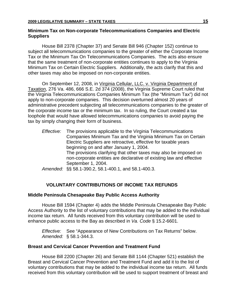#### **Minimum Tax on Non-corporate Telecommunications Companies and Electric Suppliers**

House Bill 2378 (Chapter 37) and Senate Bill 946 (Chapter 152) continue to subject all telecommunications companies to the greater of either the Corporate Income Tax or the Minimum Tax On Telecommunications Companies. The acts also ensure that the same treatment of non-corporate entities continues to apply to the Virginia Minimum Tax on Certain Electric Suppliers. Additionally, the acts clarify that this and other taxes may also be imposed on non-corporate entities.

On September 12, 2008, in Virginia Cellular, LLC. v. Virginia Department of Taxation, 276 Va. 486, 666 S.E. 2d 374 (2008), the Virginia Supreme Court ruled that the Virginia Telecommunications Companies Minimum Tax (the "Minimum Tax") did not apply to non-corporate companies. This decision overturned almost 20 years of administrative precedent subjecting all telecommunications companies to the greater of the corporate income tax or the minimum tax. In so ruling, the Court created a tax loophole that would have allowed telecommunications companies to avoid paying the tax by simply changing their form of business.

*Effective:* The provisions applicable to the Virginia Telecommunications Companies Minimum Tax and the Virginia Minimum Tax on Certain Electric Suppliers are retroactive, effective for taxable years beginning on and after January 1, 2004. The provisions clarifying that other taxes may also be imposed on non-corporate entities are declarative of existing law and effective September 1, 2004.

*Amended:* §§ 58.1-390.2, 58.1-400.1, and 58.1-400.3.

## **VOLUNTARY CONTRIBUTIONS OF INCOME TAX REFUNDS**

## **Middle Peninsula Chesapeake Bay Public Access Authority**

House Bill 1594 (Chapter 4) adds the Middle Peninsula Chesapeake Bay Public Access Authority to the list of voluntary contributions that may be added to the individual income tax return. All funds received from this voluntary contribution will be used to enhance public access to the Bay as described in *Va. Code* § 15.2-6601.

*Effective:* See "Appearance of New Contributions on Tax Returns" below. *Amended:* § 58.1-344.3.

#### **Breast and Cervical Cancer Prevention and Treatment Fund**

House Bill 2200 (Chapter 26) and Senate Bill 1144 (Chapter 521) establish the Breast and Cervical Cancer Prevention and Treatment Fund and add it to the list of voluntary contributions that may be added to the individual income tax return. All funds received from this voluntary contribution will be used to support treatment of breast and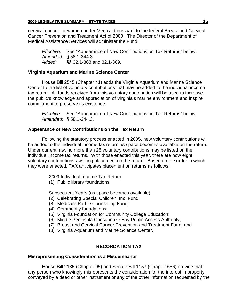cervical cancer for women under Medicaid pursuant to the federal Breast and Cervical Cancer Prevention and Treatment Act of 2000. The Director of the Department of Medical Assistance Services will administer the Fund.

*Effective:* See "Appearance of New Contributions on Tax Returns" below. *Amended:* § 58.1-344.3. *Added:* §§ 32.1-368 and 32.1-369.

## **Virginia Aquarium and Marine Science Center**

House Bill 2545 (Chapter 41) adds the Virginia Aquarium and Marine Science Center to the list of voluntary contributions that may be added to the individual income tax return. All funds received from this voluntary contribution will be used to increase the public's knowledge and appreciation of Virginia's marine environment and inspire commitment to preserve its existence.

*Effective:* See "Appearance of New Contributions on Tax Returns" below. *Amended:* § 58.1-344.3.

## **Appearance of New Contributions on the Tax Return**

Following the statutory process enacted in 2005, new voluntary contributions will be added to the individual income tax return as space becomes available on the return. Under current law, no more than 25 voluntary contributions may be listed on the individual income tax returns. With those enacted this year, there are now eight voluntary contributions awaiting placement on the return. Based on the order in which they were enacted, TAX anticipates placement on returns as follows:

2009 Individual Income Tax Return

(1) Public library foundations

Subsequent Years (as space becomes available)

- (2) Celebrating Special Children, Inc. Fund;
- (3) Medicare Part D Counseling Fund;
- (4) Community foundations;
- (5) Virginia Foundation for Community College Education;
- (6) Middle Peninsula Chesapeake Bay Public Access Authority;
- (7) Breast and Cervical Cancer Prevention and Treatment Fund; and
- (8) Virginia Aquarium and Marine Science Center.

## **RECORDATION TAX**

## **Misrepresenting Consideration is a Misdemeanor**

House Bill 2135 (Chapter 95) and Senate Bill 1157 (Chapter 686) provide that any person who knowingly misrepresents the consideration for the interest in property conveyed by a deed or other instrument or any of the other information requested by the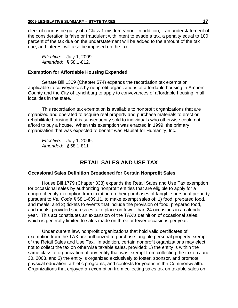clerk of court is be guilty of a Class 1 misdemeanor. In addition, if an understatement of the consideration is false or fraudulent with intent to evade a tax, a penalty equal to 100 percent of the tax due on the understatement will be added to the amount of the tax due, and interest will also be imposed on the tax.

*Effective:* July 1, 2009. *Amended:* § 58.1-812.

#### **Exemption for Affordable Housing Expanded**

Senate Bill 1309 (Chapter 574) expands the recordation tax exemption applicable to conveyances by nonprofit organizations of affordable housing in Amherst County and the City of Lynchburg to apply to conveyances of affordable housing in all localities in the state.

This recordation tax exemption is available to nonprofit organizations that are organized and operated to acquire real property and purchase materials to erect or rehabilitate housing that is subsequently sold to individuals who otherwise could not afford to buy a house. When this exemption was enacted in 1999, the primary organization that was expected to benefit was Habitat for Humanity, Inc.

*Effective:* July 1, 2009. *Amended:* § 58.1-811

## **RETAIL SALES AND USE TAX**

#### **Occasional Sales Definition Broadened for Certain Nonprofit Sales**

House Bill 1779 (Chapter 338) expands the Retail Sales and Use Tax exemption for occasional sales by authorizing nonprofit entities that are eligible to apply for a nonprofit entity exemption from taxation on their purchases of tangible personal property pursuant to *Va. Code* § 58.1-609.11, to make exempt sales of: 1) food, prepared food, and meals; and 2) tickets to events that include the provision of food, prepared food, and meals, provided such sales take place on fewer than 24 occasions in a calendar year. This act constitutes an expansion of the TAX's definition of occasional sales, which is generally limited to sales made on three or fewer occasions per year.

Under current law, nonprofit organizations that hold valid certificates of exemption from the TAX are authorized to purchase tangible personal property exempt of the Retail Sales and Use Tax. In addition, certain nonprofit organizations may elect not to collect the tax on otherwise taxable sales, provided: 1) the entity is within the same class of organization of any entity that was exempt from collecting the tax on June 30, 2003, and 2) the entity is organized exclusively to foster, sponsor, and promote physical education, athletic programs, and contests for youths in the Commonwealth. Organizations that enjoyed an exemption from collecting sales tax on taxable sales on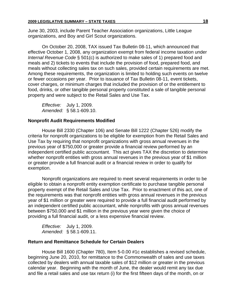June 30, 2003, include Parent Teacher Association organizations, Little League organizations, and Boy and Girl Scout organizations.

On October 20, 2008, TAX issued Tax Bulletin 08-11, which announced that effective October 1, 2008, any organization exempt from federal income taxation under *Internal Revenue Code* § 501(c) is authorized to make sales of 1) prepared food and meals and 2) tickets to events that include the provision of food, prepared food, and meals without collecting sales tax on such sales, provided certain requirements are met. Among these requirements, the organization is limited to holding such events on twelve or fewer occasions per year. Prior to issuance of Tax Bulletin 08-11, event tickets, cover charges, or minimum charges that included the provision of or the entitlement to food, drinks, or other tangible personal property constituted a sale of tangible personal property and were subject to the Retail Sales and Use Tax.

*Effective:* July 1, 2009. *Amended:* § 58.1-609.10.

#### **Nonprofit Audit Requirements Modified**

House Bill 2330 (Chapter 106) and Senate Bill 1222 (Chapter 526) modify the criteria for nonprofit organizations to be eligible for exemption from the Retail Sales and Use Tax by requiring that nonprofit organizations with gross annual revenues in the previous year of \$750,000 or greater provide a financial review performed by an independent certified public accountant. This act gives TAX the discretion to determine whether nonprofit entities with gross annual revenues in the previous year of \$1 million or greater provide a full financial audit or a financial review in order to qualify for exemption.

Nonprofit organizations are required to meet several requirements in order to be eligible to obtain a nonprofit entity exemption certificate to purchase tangible personal property exempt of the Retail Sales and Use Tax. Prior to enactment of this act, one of the requirements was that nonprofit entities with gross annual revenues in the previous year of \$1 million or greater were required to provide a full financial audit performed by an independent certified public accountant, while nonprofits with gross annual revenues between \$750,000 and \$1 million in the previous year were given the choice of providing a full financial audit, or a less expensive financial review.

*Effective:* July 1, 2009. *Amended:* § 58.1-609.11.

#### **Return and Remittance Schedule for Certain Dealers**

House Bill 1600 (Chapter 780), Item 5-0.00 #1c establishes a revised schedule, beginning June 20, 2010, for remittance to the Commonwealth of sales and use taxes collected by dealers with annual taxable sales of \$12 million or greater in the previous calendar year. Beginning with the month of June, the dealer would remit any tax due and file a retail sales and use tax return (i) for the first fifteen days of the month, on or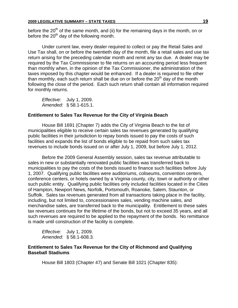before the  $20<sup>th</sup>$  of the same month, and (ii) for the remaining days in the month, on or before the  $20<sup>th</sup>$  day of the following month.

Under current law, every dealer required to collect or pay the Retail Sales and Use Tax shall, on or before the twentieth day of the month, file a retail sales and use tax return arising for the preceding calendar month and remit any tax due. A dealer may be required by the Tax Commissioner to file returns on an accounting period less frequent than monthly when, in the opinion of the Tax Commissioner, the administration of the taxes imposed by this chapter would be enhanced. If a dealer is required to file other than monthly, each such return shall be due on or before the  $20<sup>th</sup>$  day of the month following the close of the period. Each such return shall contain all information required for monthly returns.

*Effective:* July 1, 2009. *Amended:* § 58.1-615.1.

#### **Entitlement to Sales Tax Revenue for the City of Virginia Beach**

House Bill 1691 (Chapter 7) adds the City of Virginia Beach to the list of municipalities eligible to receive certain sales tax revenues generated by qualifying public facilities in their jurisdiction to repay bonds issued to pay the costs of such facilities and expands the list of bonds eligible to be repaid from such sales tax revenues to include bonds issued on or after July 1, 2009, but before July 1, 2012.

Before the 2009 General Assembly session, sales tax revenue attributable to sales in new or substantially renovated public facilities was transferred back to municipalities to pay the costs of the bonds issued to finance such facilities before July 1, 2007. Qualifying public facilities were auditoriums, coliseums, convention centers, conference centers, or hotels owned by a Virginia county, city, town or authority or other such public entity. Qualifying public facilities only included facilities located in the Cities of Hampton, Newport News, Norfolk, Portsmouth, Roanoke, Salem, Staunton, or Suffolk. Sales tax revenues generated from all transactions taking place in the facility, including, but not limited to, concessionaires sales, vending machine sales, and merchandise sales, are transferred back to the municipality. Entitlement to these sales tax revenues continues for the lifetime of the bonds, but not to exceed 35 years, and all such revenues are required to be applied to the repayment of the bonds. No remittance is made until construction of the facility is complete.

*Effective:* July 1, 2009. *Amended:* § 58.1-608.3.

### **Entitlement to Sales Tax Revenue for the City of Richmond and Qualifying Baseball Stadiums**

House Bill 1803 (Chapter 47) and Senate Bill 1021 (Chapter 835):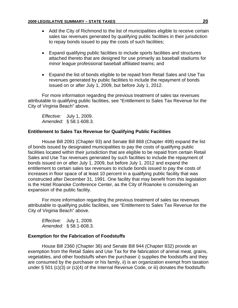- Add the City of Richmond to the list of municipalities eligible to receive certain sales tax revenues generated by qualifying public facilities in their jurisdiction to repay bonds issued to pay the costs of such facilities;
- Expand qualifying public facilities to include sports facilities and structures attached thereto that are designed for use primarily as baseball stadiums for minor league professional baseball affiliated teams; and
- Expand the list of bonds eligible to be repaid from Retail Sales and Use Tax revenues generated by public facilities to include the repayment of bonds issued on or after July 1, 2009, but before July 1, 2012.

For more information regarding the previous treatment of sales tax revenues attributable to qualifying public facilities, see "Entitlement to Sales Tax Revenue for the City of Virginia Beach" above.

*Effective:* July 1, 2009. *Amended:* § 58.1-608.3.

## **Entitlement to Sales Tax Revenue for Qualifying Public Facilities**

House Bill 2091 (Chapter 93) and Senate Bill 868 (Chapter 499) expand the list of bonds issued by designated municipalities to pay the costs of qualifying public facilities located within their jurisdiction that are eligible to be repaid from certain Retail Sales and Use Tax revenues generated by such facilities to include the repayment of bonds issued on or after July 1, 2009, but before July 1, 2012 and expand the entitlement to certain sales tax revenues to include bonds issued to pay the costs of increases in floor space of at least 10 percent in a qualifying public facility that was constructed after December 31, 1991. One facility that may benefit from this legislation is the Hotel Roanoke Conference Center, as the City of Roanoke is considering an expansion of the public facility.

For more information regarding the previous treatment of sales tax revenues attributable to qualifying public facilities, see "Entitlement to Sales Tax Revenue for the City of Virginia Beach" above.

*Effective:* July 1, 2009. *Amended:* § 58.1-608.3.

## **Exemption for the Fabrication of Foodstuffs**

House Bill 2360 (Chapter 36) and Senate Bill 944 (Chapter 832) provide an exemption from the Retail Sales and Use Tax for the fabrication of animal meat, grains, vegetables, and other foodstuffs when the purchaser i) supplies the foodstuffs and they are consumed by the purchaser or his family, ii) is an organization exempt from taxation under § 501 (c)(3) or (c)(4) of the Internal Revenue Code, or iii) donates the foodstuffs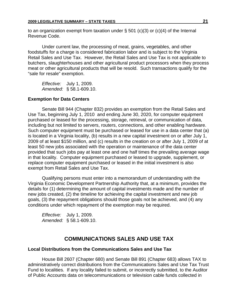to an organization exempt from taxation under  $\S$  501 (c)(3) or (c)(4) of the Internal Revenue Code.

Under current law, the processing of meat, grains, vegetables, and other foodstuffs for a charge is considered fabrication labor and is subject to the Virginia Retail Sales and Use Tax. However, the Retail Sales and Use Tax is not applicable to butchers, slaughterhouses and other agricultural product processors when they process meat or other agricultural products that will be resold. Such transactions qualify for the "sale for resale" exemption.

*Effective:* July 1, 2009. *Amended:* § 58.1-609.10.

## **Exemption for Data Centers**

Senate Bill 944 (Chapter 832) provides an exemption from the Retail Sales and Use Tax, beginning July 1, 2010 and ending June 30, 2020, for computer equipment purchased or leased for the processing, storage, retrieval, or communication of data, including but not limited to servers, routers, connections, and other enabling hardware. Such computer equipment must be purchased or leased for use in a data center that (a) is located in a Virginia locality, (b) results in a new capital investment on or after July 1, 2009 of at least \$150 million, and (c) results in the creation on or after July 1, 2009 of at least 50 new jobs associated with the operation or maintenance of the data center provided that such jobs pay at least one and one half times the prevailing average wage in that locality. Computer equipment purchased or leased to upgrade, supplement, or replace computer equipment purchased or leased in the initial investment is also exempt from Retail Sales and Use Tax.

Qualifying persons must enter into a memorandum of understanding with the Virginia Economic Development Partnership Authority that, at a minimum, provides the details for (1) determining the amount of capital investments made and the number of new jobs created, (2) the timeline for achieving the capital investment and new job goals, (3) the repayment obligations should those goals not be achieved, and (4) any conditions under which repayment of the exemption may be required.

*Effective:* July 1, 2009. *Amended:* § 58.1-609.10.

## **COMMUNICATIONS SALES AND USE TAX**

## **Local Distributions from the Communications Sales and Use Tax**

House Bill 2607 (Chapter 680) and Senate Bill 891 (Chapter 683) allows TAX to administratively correct distributions from the Communications Sales and Use Tax Trust Fund to localities. If any locality failed to submit, or incorrectly submitted, to the Auditor of Public Accounts data on telecommunications or television cable funds collected in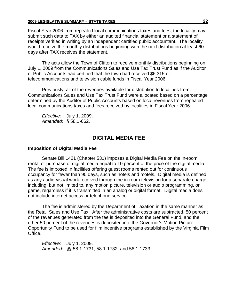#### **2009 LEGISLATIVE SUMMARY – STATE TAXES 22**

Fiscal Year 2006 from repealed local communications taxes and fees, the locality may submit such data to TAX by either an audited financial statement or a statement of receipts verified in writing by an independent certified public accountant. The locality would receive the monthly distributions beginning with the next distribution at least 60 days after TAX receives the statement.

The acts allow the Town of Clifton to receive monthly distributions beginning on July 1, 2009 from the Communications Sales and Use Tax Trust Fund as if the Auditor of Public Accounts had certified that the town had received \$6,315 of telecommunications and television cable funds in Fiscal Year 2006.

Previously, all of the revenues available for distribution to localities from Communications Sales and Use Tax Trust Fund were allocated based on a percentage determined by the Auditor of Public Accounts based on local revenues from repealed local communications taxes and fees received by localities in Fiscal Year 2006.

*Effective:* July 1, 2009. *Amended:* § 58.1-662.

## **DIGITAL MEDIA FEE**

#### **Imposition of Digital Media Fee**

Senate Bill 1421 (Chapter 531) imposes a Digital Media Fee on the in-room rental or purchase of digital media equal to 10 percent of the price of the digital media. The fee is imposed in facilities offering guest rooms rented out for continuous occupancy for fewer than 90 days, such as hotels and motels. Digital media is defined as any audio-visual work received through the in-room television for a separate charge, including, but not limited to, any motion picture, television or audio programming, or game, regardless if it is transmitted in an analog or digital format. Digital media does not include internet access or telephone service.

The fee is administered by the Department of Taxation in the same manner as the Retail Sales and Use Tax. After the administrative costs are subtracted, 50 percent of the revenues generated from the fee is deposited into the General Fund, and the other 50 percent of the revenues is deposited into the Governor's Motion Picture Opportunity Fund to be used for film incentive programs established by the Virginia Film Office.

*Effective:* July 1, 2009. *Amended:* §§ 58.1-1731, 58.1-1732, and 58.1-1733.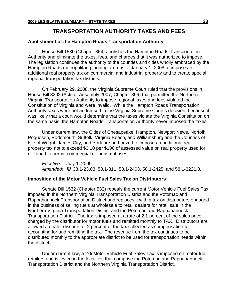## **TRANSPORTATION AUTHORITY TAXES AND FEES**

#### **Abolishment of the Hampton Roads Transportation Authority**

House Bill 1580 (Chapter 864) abolishes the Hampton Roads Transportation Authority and eliminate the taxes, fees, and charges that it was authorized to impose. The legislation continues the authority of the counties and cities wholly embraced by the Hampton Roads metropolitan planning area as of January 1, 2008 to impose an additional real property tax on commercial and industrial property and to create special regional transportation tax districts.

On February 29, 2008, the Virginia Supreme Court ruled that the provisions in House Bill 3202 (Acts of Assembly 2007, Chapter 896) that permitted the Northern Virginia Transportation Authority to impose regional taxes and fees violated the Constitution of Virginia and were invalid. While the Hampton Roads Transportation Authority taxes were not addressed in the Virginia Supreme Court's decision, because it was likely that a court would determine that the taxes violate the Virginia Constitution on the same basis, the Hampton Roads Transportation Authority never imposed the taxes.

Under current law, the Cities of Chesapeake, Hampton, Newport News, Norfolk, Poquoson, Portsmouth, Suffolk, Virginia Beach, and Williamsburg and the Counties of Isle of Wright, James City, and York are authorized to impose an additional real property tax not to exceed \$0.10 per \$100 of assessed value on real property used for or zoned to permit commercial or industrial uses.

*Effective:* July 1, 2009. *Amended:* §§ 33.1-23.03, 58.1-811, 58.1-2403, 58.1-2425, and 58.1-3221.3.

#### **Imposition of the Motor Vehicle Fuel Sales Tax on Distributors**

Senate Bill 1532 (Chapter 532) repeals the current Motor Vehicle Fuel Sales Tax imposed in the Northern Virginia Transportation District and the Potomac and Rappahannock Transportation District and replaces it with a tax on distributors engaged in the business of selling fuels at wholesale to retail dealers for retail sale in the Northern Virginia Transportation District and the Potomac and Rappahannock Transportation District. The tax is imposed at a rate of 2.1 percent of the sales price charged by the distributor for motor fuels and remitted monthly to TAX. Distributors are allowed a dealer discount of 2 percent of the tax collected as compensation for accounting for and remitting the tax. The revenue from the tax continues to be distributed monthly to the appropriate district to be used for transportation needs within the district.

Under current law, a 2% Motor Vehicle Fuel Sales Tax is imposed on motor fuel retailers and is levied in the localities that comprise the Potomac and Rappahannock Transportation District and the Northern Virginia Transportation District.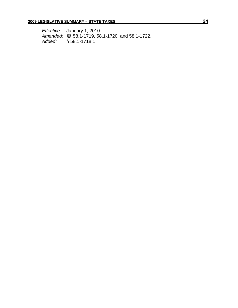*Effective:* January 1, 2010. *Amended:* §§ 58.1-1719, 58.1-1720, and 58.1-1722. *Added:* § 58.1-1718.1.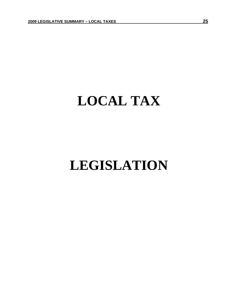## **LOCAL TAX**

## **LEGISLATION**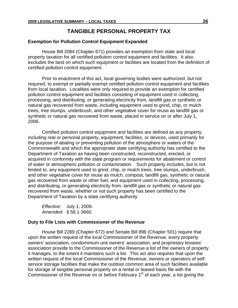## **TANGIBLE PERSONAL PROPERTY TAX**

#### **Exemption for Pollution Control Equipment Expanded**

House Bill 2084 (Chapter 671) provides an exemption from state and local property taxation for all certified pollution control equipment and facilities. It also excludes the land on which such equipment or facilities are located from the definition of certified pollution control equipment.

Prior to enactment of this act, local governing bodies were authorized, but not required, to exempt or partially exempt certified pollution control equipment and facilities from local taxation. Localities were only required to provide an exemption for certified pollution control equipment and facilities consisting of equipment used in collecting, processing, and distributing, or generating electricity from, landfill gas or synthetic or natural gas recovered from waste, including equipment used to grind, chip, or mulch trees, tree stumps, underbrush, and other vegetative cover for reuse as landfill gas or synthetic or natural gas recovered from waste, placed in service on or after July 1, 2006.

Certified pollution control equipment and facilities are defined as any property, including real or personal property, equipment, facilities, or devices, used primarily for the purpose of abating or preventing pollution of the atmosphere or waters of the Commonwealth and which the appropriate state certifying authority has certified to the Department of Taxation as having been constructed, reconstructed, erected, or acquired in conformity with the state program or requirements for abatement or control of water or atmospheric pollution or contamination. Such property includes, but is not limited to, any equipment used to grind, chip, or mulch trees, tree stumps, underbrush, and other vegetative cover for reuse as mulch, compost, landfill gas, synthetic or natural gas recovered from waste or other fuel, and equipment used in collecting, processing, and distributing, or generating electricity from, landfill gas or synthetic or natural gas recovered from waste, whether or not such property has been certified to the Department of Taxation by a state certifying authority.

*Effective:* July 1, 2009. *Amended:* § 58.1-3660.

#### **Duty to File Lists with Commissioner of the Revenue**

House Bill 2289 (Chapter 672) and Senate Bill 896 (Chapter 501) require that upon the written request of the local Commissioner of the Revenue, every property owners' association, condominium unit owners' association, and proprietary lessees' association provide to the Commissioner of the Revenue a list of the owners of property it manages, to the extent it maintains such a list. This act also requires that upon the written request of the local Commissioner of the Revenue, owners or operators of selfservice storage facilities that make the outdoor common area of such facilities available for storage of tangible personal property on a rental or leased basis file with the Commissioner of the Revenue on or before February 1<sup>st</sup> of each year, a list giving the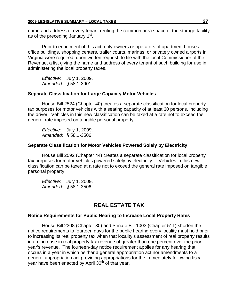name and address of every tenant renting the common area space of the storage facility as of the preceding January 1<sup>st</sup>.

Prior to enactment of this act, only owners or operators of apartment houses, office buildings, shopping centers, trailer courts, marinas, or privately owned airports in Virginia were required, upon written request, to file with the local Commissioner of the Revenue, a list giving the name and address of every tenant of such building for use in administering the local property taxes.

*Effective:* July 1, 2009. *Amended:* § 58.1-3901.

#### **Separate Classification for Large Capacity Motor Vehicles**

House Bill 2524 (Chapter 40) creates a separate classification for local property tax purposes for motor vehicles with a seating capacity of at least 30 persons, including the driver. Vehicles in this new classification can be taxed at a rate not to exceed the general rate imposed on tangible personal property.

*Effective:* July 1, 2009. *Amended:* § 58.1-3506.

#### **Separate Classification for Motor Vehicles Powered Solely by Electricity**

House Bill 2592 (Chapter 44) creates a separate classification for local property tax purposes for motor vehicles powered solely by electricity. Vehicles in this new classification can be taxed at a rate not to exceed the general rate imposed on tangible personal property.

*Effective:* July 1, 2009. *Amended:* § 58.1-3506.

## **REAL ESTATE TAX**

#### **Notice Requirements for Public Hearing to Increase Local Property Rates**

House Bill 2308 (Chapter 30) and Senate Bill 1003 (Chapter 511) shorten the notice requirements to fourteen days for the public hearing every locality must hold prior to increasing its real property tax when that locality's assessment of real property results in an increase in real property tax revenue of greater than one percent over the prior year's revenue. The fourteen-day notice requirement applies for any hearing that occurs in a year in which neither a general appropriation act nor amendments to a general appropriation act providing appropriations for the immediately following fiscal year have been enacted by April  $30<sup>th</sup>$  of that year.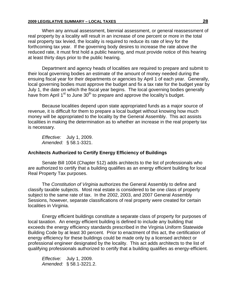#### **2009 LEGISLATIVE SUMMARY – LOCAL TAXES 28**

When any annual assessment, biennial assessment, or general reassessment of real property by a locality will result in an increase of one percent or more in the total real property tax levied, the locality is required to reduce its rate of levy for the forthcoming tax year. If the governing body desires to increase the rate above the reduced rate, it must first hold a public hearing, and must provide notice of this hearing at least thirty days prior to the public hearing.

Department and agency heads of localities are required to prepare and submit to their local governing bodies an estimate of the amount of money needed during the ensuing fiscal year for their departments or agencies by April 1 of each year. Generally, local governing bodies must approve the budget and fix a tax rate for the budget year by July 1, the date on which the fiscal year begins. The local governing bodies generally have from April  $1<sup>st</sup>$  to June  $30<sup>th</sup>$  to prepare and approve the locality's budget.

Because localities depend upon state appropriated funds as a major source of revenue, it is difficult for them to prepare a local budget without knowing how much money will be appropriated to the locality by the General Assembly. This act assists localities in making the determination as to whether an increase in the real property tax is necessary.

*Effective:* July 1, 2009. *Amended:* § 58.1-3321.

#### **Architects Authorized to Certify Energy Efficiency of Buildings**

Senate Bill 1004 (Chapter 512) adds architects to the list of professionals who are authorized to certify that a building qualifies as an energy efficient building for local Real Property Tax purposes.

The *Constitution of Virginia* authorizes the General Assembly to define and classify taxable subjects. Most real estate is considered to be one class of property subject to the same rate of tax. In the 2002, 2003, and 2007 General Assembly Sessions, however, separate classifications of real property were created for certain localities in Virginia.

Energy efficient buildings constitute a separate class of property for purposes of local taxation. An energy efficient building is defined to include any building that exceeds the energy efficiency standards prescribed in the Virginia Uniform Statewide Building Code by at least 30 percent. Prior to enactment of this act, the certification of energy efficiency for these buildings could be made only by a licensed architect or professional engineer designated by the locality. This act adds architects to the list of qualifying professionals authorized to certify that a building qualifies as energy-efficient.

*Effective:* July 1, 2009. *Amended:* § 58.1-3221.2.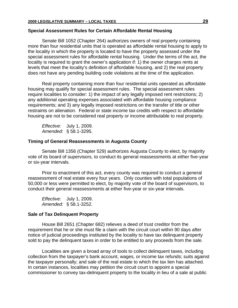#### **Special Assessment Rules for Certain Affordable Rental Housing**

Senate Bill 1052 (Chapter 264) authorizes owners of real property containing more than four residential units that is operated as affordable rental housing to apply to the locality in which the property is located to have the property assessed under the special assessment rules for affordable rental housing. Under the terms of the act, the locality is required to grant the owner's application if: 1) the owner charges rents at levels that meet the locality's definition of affordable housing, and 2) the real property does not have any pending building code violations at the time of the application.

Real property containing more than four residential units operated as affordable housing may qualify for special assessment rules. The special assessment rules require localities to consider: 1) the impact of any legally imposed rent restrictions; 2) any additional operating expenses associated with affordable housing compliance requirements; and 3) any legally imposed restrictions on the transfer of title or other restraints on alienation. Federal or state income tax credits with respect to affordable housing are not to be considered real property or income attributable to real property.

*Effective:* July 1, 2009. *Amended:* § 58.1-3295.

#### **Timing of General Reassessments in Augusta County**

Senate Bill 1356 (Chapter 529) authorizes Augusta County to elect, by majority vote of its board of supervisors, to conduct its general reassessments at either five-year or six-year intervals.

Prior to enactment of this act, every county was required to conduct a general reassessment of real estate every four years. Only counties with total populations of 50,000 or less were permitted to elect, by majority vote of the board of supervisors, to conduct their general reassessments at either five-year or six-year intervals.

*Effective:* July 1, 2009. *Amended:* § 58.1-3252.

#### **Sale of Tax Delinquent Property**

House Bill 2651 (Chapter 682) relieves a deed of trust creditor from the requirement that he or she must file a claim with the circuit court within 90 days after notice of judicial proceedings instituted by the locality to have tax delinquent property sold to pay the delinquent taxes in order to be entitled to any proceeds from the sale.

Localities are given a broad array of tools to collect delinquent taxes, including collection from the taxpayer's bank account, wages, or income tax refunds; suits against the taxpayer personally; and sale of the real estate to which the tax lien has attached. In certain instances, localities may petition the circuit court to appoint a special commissioner to convey tax-delinquent property to the locality in lieu of a sale at public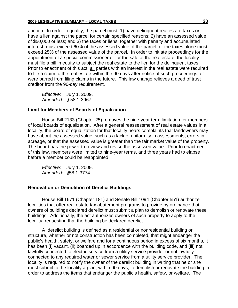auction. In order to qualify, the parcel must: 1) have delinquent real estate taxes or have a lien against the parcel for certain specified reasons; 2) have an assessed value of \$50,000 or less; and 3) the taxes or liens, together with penalty and accumulated interest, must exceed 60% of the assessed value of the parcel, or the taxes alone must exceed 25% of the assessed value of the parcel. In order to initiate proceedings for the appointment of a special commissioner or for the sale of the real estate, the locality must file a bill in equity to subject the real estate to the lien for the delinquent taxes. Prior to enactment of this act, all parties with an interest in the real estate were required to file a claim to the real estate within the 90 days after notice of such proceedings, or were barred from filing claims in the future. This law change relieves a deed of trust creditor from the 90-day requirement.

*Effective:* July 1, 2009. *Amended:* § 58.1-3967.

#### **Limit for Members of Boards of Equalization**

House Bill 2133 (Chapter 25) removes the nine-year term limitation for members of local boards of equalization. After a general reassessment of real estate values in a locality, the board of equalization for that locality hears complaints that landowners may have about the assessed value, such as a lack of uniformity in assessments, errors in acreage, or that the assessed value is greater than the fair market value of the property. The board has the power to review and revise the assessed value. Prior to enactment of this law, members were limited to nine-year terms, and three years had to elapse before a member could be reappointed.

*Effective:* July 1, 2009. *Amended:* §58.1-3774.

#### **Renovation or Demolition of Derelict Buildings**

House Bill 1671 (Chapter 181) and Senate Bill 1094 (Chapter 551) authorize localities that offer real estate tax abatement programs to provide by ordinance that owners of buildings declared derelict must submit a plan to demolish or renovate these buildings. Additionally, the act authorizes owners of such property to apply to the locality, requesting that the building be declared derelict.

A derelict building is defined as a residential or nonresidential building or structure, whether or not construction has been completed, that might endanger the public's health, safety, or welfare and for a continuous period in excess of six months, it has been (i) vacant, (ii) boarded up in accordance with the building code, and (iii) not lawfully connected to electric service from a utility service provider or not lawfully connected to any required water or sewer service from a utility service provider. The locality is required to notify the owner of the derelict building in writing that he or she must submit to the locality a plan, within 90 days, to demolish or renovate the building in order to address the items that endanger the public's health, safety, or welfare. The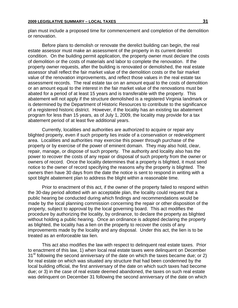plan must include a proposed time for commencement and completion of the demolition or renovation.

Before plans to demolish or renovate the derelict building can begin, the real estate assessor must make an assessment of the property in its current derelict condition. On the building permit application, the property owner must declare the costs of demolition or the costs of materials and labor to complete the renovation. If the property owner requests, after the building is renovated or demolished, the real estate assessor shall reflect the fair market value of the demolition costs or the fair market value of the renovation improvements, and reflect those values in the real estate tax assessment records. The real estate tax on an amount equal to the costs of demolition or an amount equal to the interest in the fair market value of the renovations must be abated for a period of at least 15 years and is transferable with the property. This abatement will not apply if the structure demolished is a registered Virginia landmark or is determined by the Department of Historic Resources to contribute to the significance of a registered historic district. However, if the locality has an existing tax abatement program for less than 15 years, as of July 1, 2009, the locality may provide for a tax abatement period of at least five additional years.

Currently, localities and authorities are authorized to acquire or repair any blighted property, even if such property lies inside of a conservation or redevelopment area. Localities and authorities may exercise this power through purchase of the property or by exercise of the power of eminent domain. They may also hold, clear, repair, manage, or dispose of such property. The authority and locality also has the power to recover the costs of any repair or disposal of such property from the owner or owners of record. Once the locality determines that a property is blighted, it must send notice to the owner of record specifying the reasons why the property is blighted. The owners then have 30 days from the date the notice is sent to respond in writing with a spot blight abatement plan to address the blight within a reasonable time.

Prior to enactment of this act, if the owner of the property failed to respond within the 30-day period allotted with an acceptable plan, the locality could request that a public hearing be conducted during which findings and recommendations would be made by the local planning commission concerning the repair or other disposition of the property, subject to approval by the local governing board. This act modifies the procedure by authorizing the locality, by ordinance, to declare the property as blighted without holding a public hearing. Once an ordinance is adopted declaring the property as blighted, the locality has a lien on the property to recover the costs of any improvements made by the locality and any disposal. Under this act, the lien is to be treated as an enforceable tax lien.

This act also modifies the law with respect to delinquent real estate taxes. Prior to enactment of this law, 1) when local real estate taxes were delinquent on December  $31<sup>st</sup>$  following the second anniversary of the date on which the taxes became due; or 2) for real estate on which was situated any structure that had been condemned by the local building official, the first anniversary of the date on which such taxes had become due; or 3) in the case of real estate deemed abandoned, the taxes on such real estate was delinquent on December 31 following the second anniversary of the date on which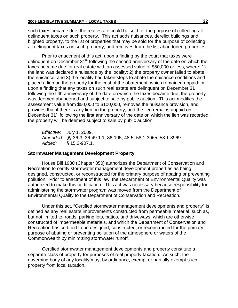such taxes became due; the real estate could be sold for the purpose of collecting all delinquent taxes on such property. This act adds nuisances, derelict buildings and blighted property, to the list of properties that may be sold for the purpose of collecting all delinquent taxes on such property, and removes from the list abandoned properties.

 Prior to enactment of this act, upon a finding by the court that taxes were delinguent on December 31<sup>st</sup> following the second anniversary of the date on which the taxes became due for real estate with an assessed value of \$50,000 or less, where: 1) the land was declared a nuisance by the locality; 2) the property owner failed to abate the nuisance, and 3) the locality had taken steps to abate the nuisance conditions and placed a lien on the property for the cost of the abatement, which remained unpaid; or upon a finding that any taxes on such real estate are delinquent on December 31 following the fifth anniversary of the date on which the taxes became due, the property was deemed abandoned and subject to sale by public auction. This act modifies the assessment value from \$50,000 to \$100,000, removes the nuisance provision, and provides that if there is any lien on the property, and the lien remains unpaid on December 31<sup>st</sup> following the first anniversary of the date on which the lien was recorded, the property will be deemed subject to sale by public auction.

*Effective:* July 1, 2009. *Amended:* §§ 36-3, 36-49.1:1, 36-105, 48-5, 58.1-3965, 58.1-3969. *Added:* § 15.2-907.1.

#### **Stormwater Management Development Property**

House Bill 1930 (Chapter 350) authorizes the Department of Conservation and Recreation to certify stormwater management development properties as being designed, constructed, or reconstructed for the primary purpose of abating or preventing pollution. Prior to enactment of this law, the Department of Environmental Quality was authorized to make this certification. This act was necessary because responsibility for administering the stormwater program was moved from the Department of Environmental Quality to the Department of Conservation and Recreation.

Under this act, "Certified stormwater management developments and property" is defined as any real estate improvements constructed from permeable material, such as, but not limited to, roads, parking lots, patios, and driveways, which are otherwise constructed of impermeable materials, and which the Department of Conservation and Recreation has certified to be designed, constructed, or reconstructed for the primary purpose of abating or preventing pollution of the atmosphere or waters of the Commonwealth by minimizing stormwater runoff.

Certified stormwater management developments and property constitute a separate class of property for purposes of real property taxation. As such, the governing body of any locality may, by ordinance, exempt or partially exempt such property from local taxation.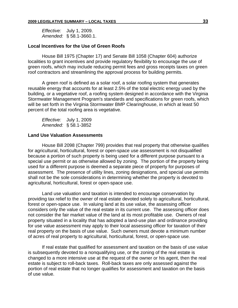*Effective:* July 1, 2009. *Amended:* § 58.1-3660.1.

#### **Local Incentives for the Use of Green Roofs**

House Bill 1975 (Chapter 17) and Senate Bill 1058 (Chapter 604) authorize localities to grant incentives and provide regulatory flexibility to encourage the use of green roofs, which may include reducing permit fees and gross receipts taxes on green roof contractors and streamlining the approval process for building permits.

A green roof is defined as a solar roof, a solar roofing system that generates reusable energy that accounts for at least 2.5% of the total electric energy used by the building, or a vegetative roof, a roofing system designed in accordance with the Virginia Stormwater Management Program's standards and specifications for green roofs, which will be set forth in the Virginia Stormwater BMP Clearinghouse, in which at least 50 percent of the total roofing area is vegetative.

*Effective:* July 1, 2009 *Amended:* § 58.1-3852

#### **Land Use Valuation Assessments**

House Bill 2098 (Chapter 799) provides that real property that otherwise qualifies for agricultural, horticultural, forest or open-space use assessment is not disqualified because a portion of such property is being used for a different purpose pursuant to a special use permit or as otherwise allowed by zoning. The portion of the property being used for a different purpose is deemed a separate piece of property for purposes of assessment. The presence of utility lines, zoning designations, and special use permits shall not be the sole considerations in determining whether the property is devoted to agricultural, horticultural, forest or open-space use.

Land use valuation and taxation is intended to encourage conservation by providing tax relief to the owner of real estate devoted solely to agricultural, horticultural, forest or open-space use. In valuing land at its use value, the assessing officer considers only the value of the real estate in its current use. The assessing officer does not consider the fair market value of the land at its most profitable use. Owners of real property situated in a locality that has adopted a land-use plan and ordinance providing for use value assessment may apply to their local assessing officer for taxation of their real property on the basis of use value. Such owners must devote a minimum number of acres of real property to agricultural, horticultural, forest, or open-space use.

If real estate that qualified for assessment and taxation on the basis of use value is subsequently devoted to a nonqualifying use, or the zoning of the real estate is changed to a more intensive use at the request of the owner or his agent, then the real estate is subject to roll-back taxes. Roll-back taxes are only assessed against the portion of real estate that no longer qualifies for assessment and taxation on the basis of use value.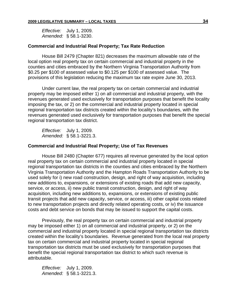*Effective:* July 1, 2009. *Amended:* § 58.1-3230.

#### **Commercial and Industrial Real Property; Tax Rate Reduction**

House Bill 2479 (Chapter 821) decreases the maximum allowable rate of the local option real property tax on certain commercial and industrial property in the counties and cities embraced by the Northern Virginia Transportation Authority from \$0.25 per \$100 of assessed value to \$0.125 per \$100 of assessed value. The provisions of this legislation reducing the maximum tax rate expire June 30, 2013.

Under current law, the real property tax on certain commercial and industrial property may be imposed either 1) on all commercial and industrial property, with the revenues generated used exclusively for transportation purposes that benefit the locality imposing the tax, or 2) on the commercial and industrial property located in special regional transportation tax districts created within the locality's boundaries, with the revenues generated used exclusively for transportation purposes that benefit the special regional transportation tax district.

*Effective:* July 1, 2009. *Amended:* § 58.1-3221.3.

#### **Commercial and Industrial Real Property; Use of Tax Revenues**

House Bill 2480 (Chapter 677) requires all revenue generated by the local option real property tax on certain commercial and industrial property located in special regional transportation tax districts in the counties and cities embraced by the Northern Virginia Transportation Authority and the Hampton Roads Transportation Authority to be used solely for i) new road construction, design, and right of way acquisition, including new additions to, expansions, or extensions of existing roads that add new capacity, service, or access, ii) new public transit construction, design, and right of way acquisition, including new additions to, expansions, or extensions of existing public transit projects that add new capacity, service, or access, iii) other capital costs related to new transportation projects and directly related operating costs, or iv) the issuance costs and debt service on bonds that may be issued to support the capital costs.

Previously, the real property tax on certain commercial and industrial property may be imposed either 1) on all commercial and industrial property, or 2) on the commercial and industrial property located in special regional transportation tax districts created within the locality's boundaries. Revenue generated from the local real property tax on certain commercial and industrial property located in special regional transportation tax districts must be used exclusively for transportation purposes that benefit the special regional transportation tax district to which such revenue is attributable.

*Effective:* July 1, 2009. *Amended:* § 58.1-3221.3.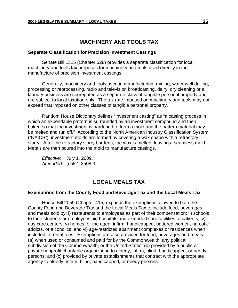## **MACHINERY AND TOOLS TAX**

#### **Separate Classification for Precision Investment Castings**

Senate Bill 1315 (Chapter 528) provides a separate classification for local machinery and tools tax purposes for machinery and tools used directly in the manufacture of precision investment castings.

Generally, machinery and tools used in manufacturing, mining, water well drilling, processing or reprocessing, radio and television broadcasting, dairy, dry cleaning or a laundry business are segregated as a separate class of tangible personal property and are subject to local taxation only. The tax rate imposed on machinery and tools may not exceed that imposed on other classes of tangible personal property.

Random House Dictionary defines "investment casting" as "a casting process in which an expendable pattern is surrounded by an investment compound and then baked so that the investment is hardened to form a mold and the pattern material may be melted and run off." According to the North American Industry Classification System ("NAICS"), investment molds are formed by covering a wax shape with a refractory slurry. After the refractory slurry hardens, the wax is melted, leaving a seamless mold. Metals are then poured into the mold to manufacture castings.

*Effective:* July 1, 2009. *Amended:* § 58.1-3508.3.

## **LOCAL MEALS TAX**

#### **Exemptions from the County Food and Beverage Tax and the Local Meals Tax**

House Bill 2059 (Chapter 415) expands the exemptions allowed to both the County Food and Beverage Tax and the Local Meals Tax to include food, beverages and meals sold by: i) restaurants to employees as part of their compensation; ii) schools to their students or employees; iii) hospitals and extended care facilities to patients; iv) day care centers; v) homes for the aged, infirm, handicapped, battered women, narcotic addicts, or alcoholics; and vi) age-restricted apartment complexes or residences when included in rental fees. Exemptions are also provided for food, beverages and meals: (a) when used or consumed and paid for by the Commonwealth, any political subdivision of the Commonwealth, or the United States; (b) provided by a public or private nonprofit charitable organization to elderly, infirm, blind, handicapped, or needy persons; and (c) provided by private establishments that contract with the appropriate agency to elderly, infirm, blind, handicapped, or needy persons.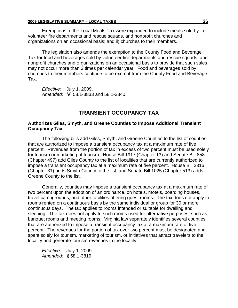Exemptions to the Local Meals Tax were expanded to include meals sold by: i) volunteer fire departments and rescue squads, and nonprofit churches and organizations on an occasional basis; and ii) churches to their members.

The legislation also amends the exemption to the County Food and Beverage Tax for food and beverages sold by volunteer fire departments and rescue squads, and nonprofit churches and organizations on an occasional basis to provide that such sales may not occur more than 3 times per calendar year. Food and beverages sold by churches to their members continue to be exempt from the County Food and Beverage Tax.

*Effective:* July 1, 2009. *Amended:* §§ 58.1-3833 and 58.1-3840.

## **TRANSIENT OCCUPANCY TAX**

#### **Authorizes Giles, Smyth, and Greene Counties to Impose Additional Transient Occupancy Tax**

The following bills add Giles, Smyth, and Greene Counties to the list of counties that are authorized to impose a transient occupancy tax at a maximum rate of five percent. Revenues from the portion of tax in excess of two percent must be used solely for tourism or marketing of tourism. House Bill 1917 (Chapter 13) and Senate Bill 858 (Chapter 497) add Giles County to the list of localities that are currently authorized to impose a transient occupancy tax at a maximum rate of five percent. House Bill 2316 (Chapter 31) adds Smyth County to the list, and Senate Bill 1025 (Chapter 513) adds Greene County to the list.

Generally, counties may impose a transient occupancy tax at a maximum rate of two percent upon the adoption of an ordinance, on hotels, motels, boarding houses, travel campgrounds, and other facilities offering guest rooms. The tax does not apply to rooms rented on a continuous basis by the same individual or group for 30 or more continuous days. The tax applies to rooms intended or suitable for dwelling and sleeping. The tax does not apply to such rooms used for alternative purposes, such as banquet rooms and meeting rooms. Virginia law separately identifies several counties that are authorized to impose a transient occupancy tax at a maximum rate of five percent. The revenues for the portion of tax over two percent must be designated and spent solely for tourism, marketing of tourism, or initiatives that attract travelers to the locality and generate tourism revenues in the locality.

*Effective:* July 1, 2009. *Amended:* § 58.1-3819.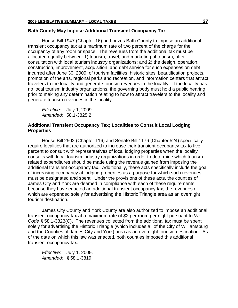#### **Bath County May Impose Additional Transient Occupancy Tax**

House Bill 1947 (Chapter 16) authorizes Bath County to impose an additional transient occupancy tax at a maximum rate of two percent of the charge for the occupancy of any room or space. The revenues from the additional tax must be allocated equally between: 1) tourism, travel, and marketing of tourism, after consultation with local tourism industry organizations; and 2) the design, operation, construction, improvement, acquisition, and debt service for such expenses on debt incurred after June 30, 2009, of tourism facilities, historic sites, beautification projects, promotion of the arts, regional parks and recreation, and information centers that attract travelers to the locality and generate tourism revenues in the locality. If the locality has no local tourism industry organizations, the governing body must hold a public hearing prior to making any determination relating to how to attract travelers to the locality and generate tourism revenues in the locality.

*Effective:* July 1, 2009. *Amended:* 58.1-3825.2.

## **Additional Transient Occupancy Tax; Localities to Consult Local Lodging Properties**

House Bill 2502 (Chapter 116) and Senate Bill 1176 (Chapter 524) specifically require localities that are authorized to increase their transient occupancy tax to five percent to consult with representatives of local lodging properties when the locality consults with local tourism industry organizations in order to determine which tourism related expenditures should be made using the revenue gained from imposing the additional transient occupancy tax. Additionally, these acts specifically include the goal of increasing occupancy at lodging properties as a purpose for which such revenues must be designated and spent. Under the provisions of these acts, the counties of James City and York are deemed in compliance with each of these requirements because they have enacted an additional transient occupancy tax, the revenues of which are expended solely for advertising the Historic Triangle area as an overnight tourism destination.

James City County and York County are also authorized to impose an additional transient occupancy tax at a maximum rate of \$2 per room per night pursuant to *Va. Code* § 58.1-3823(C). The revenues collected from the additional tax must be spent solely for advertising the Historic Triangle (which includes all of the City of Williamsburg and the Counties of James City and York) area as an overnight tourism destination. As of the date on which this law was enacted, both counties imposed this additional transient occupancy tax.

*Effective:* July 1, 2009. *Amended:* § 58.1-3819.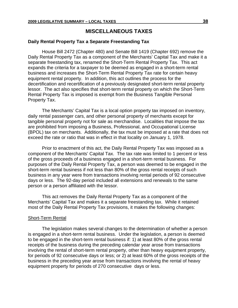## **MISCELLANEOUS TAXES**

#### **Daily Rental Property Tax a Separate Freestanding Tax**

House Bill 2472 (Chapter 480) and Senate Bill 1419 (Chapter 692) remove the Daily Rental Property Tax as a component of the Merchants' Capital Tax and make it a separate freestanding tax, renamed the Short-Term Rental Property Tax. This act expands the criteria for a taxpayer to be deemed as engaged in a short-term rental business and increases the Short-Term Rental Property Tax rate for certain heavy equipment rental property. In addition, this act outlines the process for the decertification and recertification of a previously designated short-term rental property lessor. The act also specifies that short-term rental property on which the Short-Term Rental Property Tax is imposed is exempt from the Business Tangible Personal Property Tax.

The Merchants' Capital Tax is a local option property tax imposed on inventory, daily rental passenger cars, and other personal property of merchants except for tangible personal property not for sale as merchandise. Localities that impose the tax are prohibited from imposing a Business, Professional, and Occupational License (BPOL) tax on merchants. Additionally, the tax must be imposed at a rate that does not exceed the rate or ratio that was in effect in that locality on January 1, 1978.

Prior to enactment of this act, the Daily Rental Property Tax was imposed as a component of the Merchants' Capital Tax. The tax rate was limited to 1 percent or less of the gross proceeds of a business engaged in a short-term rental business. For purposes of the Daily Rental Property Tax, a person was deemed to be engaged in the short-term rental business if not less than 80% of the gross rental receipts of such business in any year were from transactions involving rental periods of 92 consecutive days or less. The 92-day period included all extensions and renewals to the same person or a person affiliated with the lessor.

This act removes the Daily Rental Property Tax as a component of the Merchants' Capital Tax and makes it a separate freestanding tax. While it retained most of the Daily Rental Property Tax provisions, it makes the following changes:

#### Short-Term Rental

The legislation makes several changes to the determination of whether a person is engaged in a short-term rental business. Under the legislation, a person is deemed to be engaged in the short-term rental business if: 1) at least 80% of the gross rental receipts of the business during the preceding calendar year arose from transactions involving the rental of short-term rental property, other than heavy equipment property, for periods of 92 consecutive days or less; or 2) at least 60% of the gross receipts of the business in the preceding year arose from transactions involving the rental of heavy equipment property for periods of 270 consecutive days or less.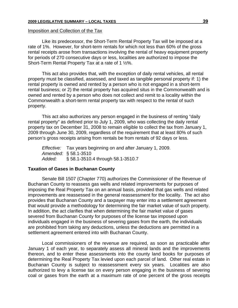#### Imposition and Collection of the Tax

Like its predecessor, the Short-Term Rental Property Tax will be imposed at a rate of 1%. However, for short-term rentals for which not less than 60% of the gross rental receipts arose from transactions involving the rental of heavy equipment property for periods of 270 consecutive days or less, localities are authorized to impose the Short-Term Rental Property Tax at a rate of 1 ½%.

This act also provides that, with the exception of daily rental vehicles, all rental property must be classified, assessed, and taxed as tangible personal property if: 1) the rental property is owned and rented by a person who is not engaged in a short-term rental business; or 2) the rental property has acquired situs in the Commonwealth and is owned and rented by a person who does not collect and remit to a locality within the Commonwealth a short-term rental property tax with respect to the rental of such property.

This act also authorizes any person engaged in the business of renting "daily rental property" as defined prior to July 1, 2009, who was collecting the daily rental property tax on December 31, 2008 to remain eligible to collect the tax from January 1, 2009 through June 30, 2009, regardless of the requirement that at least 80% of such person's gross receipts arising from rentals be from rentals of 92 days or less.

*Effective:* Tax years beginning on and after January 1, 2009. *Amended:* § 58.1-3510 *Added:* § 58.1-3510.4 through 58.1-3510.7

#### **Taxation of Gases in Buchanan County**

Senate Bill 1507 (Chapter 770) authorizes the Commissioner of the Revenue of Buchanan County to reassess gas wells and related improvements for purposes of imposing the Real Property Tax on an annual basis, provided that gas wells and related improvements are reassessed in the general reassessment for the locality. The act also provides that Buchanan County and a taxpayer may enter into a settlement agreement that would provide a methodology for determining the fair market value of such property. In addition, the act clarifies that when determining the fair market value of gases severed from Buchanan County for purposes of the license tax imposed upon individuals engaged in the business of severing gases from the earth, the individuals are prohibited from taking any deductions, unless the deductions are permitted in a settlement agreement entered into with Buchanan County.

Local commissioners of the revenue are required, as soon as practicable after January 1 of each year, to separately assess all mineral lands and the improvements thereon, and to enter these assessments into the county land books for purposes of determining the Real Property Tax levied upon each parcel of land. Other real estate in Buchanan County is subject to reassessment every six years. Localities are also authorized to levy a license tax on every person engaging in the business of severing coal or gases from the earth at a maximum rate of one percent of the gross receipts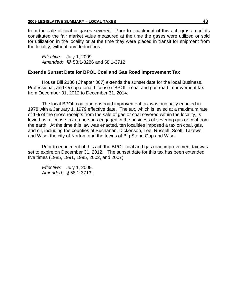from the sale of coal or gases severed. Prior to enactment of this act, gross receipts constituted the fair market value measured at the time the gases were utilized or sold for utilization in the locality or at the time they were placed in transit for shipment from the locality, without any deductions.

*Effective:* July 1, 2009 *Amended:* §§ 58.1-3286 and 58.1-3712

## **Extends Sunset Date for BPOL Coal and Gas Road Improvement Tax**

House Bill 2186 (Chapter 367) extends the sunset date for the local Business, Professional, and Occupational License ("BPOL") coal and gas road improvement tax from December 31, 2012 to December 31, 2014.

The local BPOL coal and gas road improvement tax was originally enacted in 1978 with a January 1, 1979 effective date. The tax, which is levied at a maximum rate of 1% of the gross receipts from the sale of gas or coal severed within the locality, is levied as a license tax on persons engaged in the business of severing gas or coal from the earth. At the time this law was enacted, ten localities imposed a tax on coal, gas, and oil, including the counties of Buchanan, Dickenson, Lee, Russell, Scott, Tazewell, and Wise, the city of Norton, and the towns of Big Stone Gap and Wise.

Prior to enactment of this act, the BPOL coal and gas road improvement tax was set to expire on December 31, 2012. The sunset date for this tax has been extended five times (1985, 1991, 1995, 2002, and 2007).

*Effective:* July 1, 2009. *Amended:* § 58.1-3713.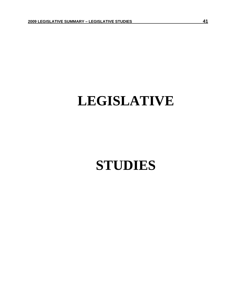## **LEGISLATIVE**

## **STUDIES**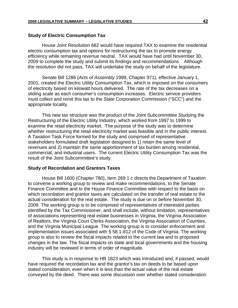#### **Study of Electric Consumption Tax**

House Joint Resolution 682 would have required TAX to examine the residential electric consumption tax and options for restructuring the tax to promote energy efficiency while remaining revenue neutral. TAX would have had until November 30, 2009 to complete the study and submit its findings and recommendations. Although the resolution did not pass, TAX will undertake the study on behalf of the legislature.

Senate Bill 1286 (*Acts of Assembly* 1999, Chapter 971), effective January 1, 2001, created the Electric Utility Consumption Tax, which is imposed on the consumers of electricity based on kilowatt hours delivered. The rate of the tax decreases on a sliding scale as each consumer's consumption increases. Electric service providers must collect and remit this tax to the State Corporation Commission ("SCC") and the appropriate locality.

This new tax structure was the product of the Joint Subcommittee Studying the Restructuring of the Electric Utility Industry, which worked from 1997 to 1999 to examine the retail electricity market. The purpose of the study was to determine whether restructuring the retail electricity market was feasible and in the public interest. A Taxation Task Force formed for the study and comprised of representative stakeholders formulated draft legislation designed to 1) retain the same level of revenues and 2) maintain the same apportionment of tax burden among residential, commercial, and industrial users. The current Electric Utility Consumption Tax was the result of the Joint Subcommittee's study.

#### **Study of Recordation and Grantors Taxes**

House Bill 1600 (Chapter 780), Item 269 1 c directs the Department of Taxation to convene a working group to review and make recommendations, to the Senate Finance Committee and to the House Finance Committee with respect to the basis on which recordation and grantor taxes are calculated on the transfer of real estate to the actual consideration for the real estate. The study is due on or before November 30, 2009. The working group is to be comprised of representatives of interested parties identified by the Tax Commissioner, and shall include, without limitation, representatives of associations representing real estate businesses in Virginia, the Virginia Association of Realtors, the Virginia Court Clerks Association, the Virginia Association of Counties, and the Virginia Municipal League. The working group is to consider enforcement and implementation issues associated with § 58.1-812 of the Code of Virginia. The working group is also to review the fiscal impacts related to the current law and to proposed changes in the law. The fiscal impacts on state and local governments and the housing industry will be reviewed in terms of order of magnitude.

This study is in response to HB 1823 which was introduced and, if passed, would have required the recordation tax and the grantor's tax on deeds to be based upon stated consideration, even when it is less than the actual value of the real estate conveyed by the deed. There was some discussion over whether stated consideration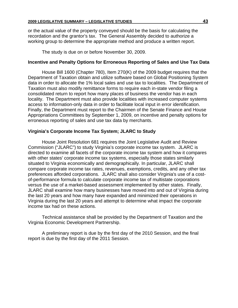or the actual value of the property conveyed should be the basis for calculating the recordation and the grantor's tax. The General Assembly decided to authorize a working group to determine the appropriate method and produce a written report.

The study is due on or before November 30, 2009.

## **Incentive and Penalty Options for Erroneous Reporting of Sales and Use Tax Data**

House Bill 1600 (Chapter 780), Item 270(K) of the 2009 budget requires that the Department of Taxation obtain and utilize software based on Global Positioning System data in order to allocate the 1% local sales and use tax to localities. The Department of Taxation must also modify remittance forms to require each in-state vendor filing a consolidated return to report how many places of business the vendor has in each locality. The Department must also provide localities with increased computer systems access to information-only data in order to facilitate local input in error identification. Finally, the Department must report to the Chairmen of the Senate Finance and House Appropriations Committees by September 1, 2009, on incentive and penalty options for erroneous reporting of sales and use tax data by merchants.

## **Virginia's Corporate Income Tax System; JLARC to Study**

House Joint Resolution 681 requires the Joint Legislative Audit and Review Commission ("JLARC") to study Virginia's corporate income tax system. JLARC is directed to examine all facets of the corporate income tax system and how it compares with other states' corporate income tax systems, especially those states similarly situated to Virginia economically and demographically. In particular, JLARC shall compare corporate income tax rates, revenues, exemptions, credits, and any other tax preferences afforded corporations. JLARC shall also consider Virginia's use of a costof-performance formula to calculate corporate income tax of multistate corporations versus the use of a market-based assessment implemented by other states. Finally, JLARC shall examine how many businesses have moved into and out of Virginia during the last 20 years and how many have expanded and minimized their operations in Virginia during the last 20 years and attempt to determine what impact the corporate income tax had on these actions.

Technical assistance shall be provided by the Department of Taxation and the Virginia Economic Development Partnership.

A preliminary report is due by the first day of the 2010 Session, and the final report is due by the first day of the 2011 Session.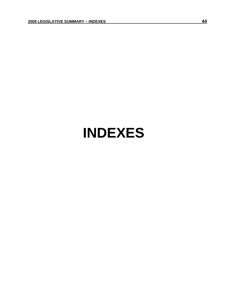## **INDEXES**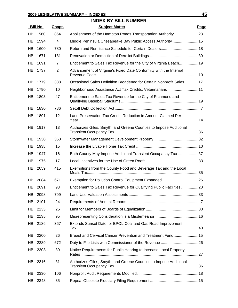## **INDEX BY BILL NUMBER**

|           | Bill No. | Chapt.         | <b>Subject Matter</b>                                                | Page |
|-----------|----------|----------------|----------------------------------------------------------------------|------|
| HB        | 1580     | 864            | Abolishment of the Hampton Roads Transportation Authority 23         |      |
| HB        | 1594     | 4              | Middle Peninsula Chesapeake Bay Public Access Authority 15           |      |
| HB        | 1600     | 780            |                                                                      |      |
| HB        | 1671     | 181            |                                                                      |      |
| HB        | 1691     | $\overline{7}$ | Entitlement to Sales Tax Revenue for the City of Virginia Beach19    |      |
| HВ        | 1737     | 2              | Advancement of Virginia's Fixed Date Conformity with the Internal    |      |
| HВ        | 1779     | 338            | Occasional Sales Definition Broadened for Certain Nonprofit Sales17  |      |
| HВ        | 1790     | 10             | Neighborhood Assistance Act Tax Credits; Veterinarians11             |      |
| HВ        | 1803     | 47             | Entitlement to Sales Tax Revenue for the City of Richmond and        |      |
| HB        | 1830     | 786            |                                                                      |      |
| HВ        | 1891     | 12             | Land Preservation Tax Credit; Reduction in Amount Claimed Per        |      |
| HB        | 1917     | 13             | Authorizes Giles, Smyth, and Greene Counties to Impose Additional    |      |
| HВ        | 1930     | 350            |                                                                      |      |
| HВ        | 1938     | 15             |                                                                      |      |
| HВ        | 1947     | 16             | Bath County May Impose Additional Transient Occupancy Tax 37         |      |
| HВ        | 1975     | 17             |                                                                      |      |
| HВ        | 2059     | 415            | Exemptions from the County Food and Beverage Tax and the Local       |      |
| HB.       | 2084     | 671            |                                                                      |      |
| <b>HB</b> | 2091     | 93             | Entitlement to Sales Tax Revenue for Qualifying Public Facilities 20 |      |
|           | HB 2098  | 799            |                                                                      |      |
| HB        | 2101     | 24             |                                                                      |      |
| HB        | 2133     | 25             |                                                                      |      |
| HB        | 2135     | 95             |                                                                      |      |
| HB        | 2186     | 367            | Extends Sunset Date for BPOL Coal and Gas Road Improvement           |      |
| HВ        | 2200     | 26             | Breast and Cervical Cancer Prevention and Treatment Fund15           |      |
| HB        | 2289     | 672            |                                                                      |      |
| HB        | 2308     | 30             | Notice Requirements for Public Hearing to Increase Local Property    |      |
|           | HB 2316  | 31             | Authorizes Giles, Smyth, and Greene Counties to Impose Additional    |      |
| HВ        | 2330     | 106            |                                                                      |      |
| HB        | 2348     | 35             |                                                                      |      |
|           |          |                |                                                                      |      |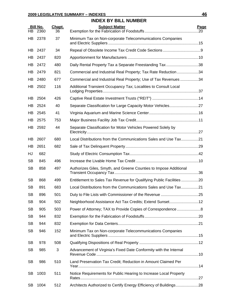## **INDEX BY BILL NUMBER Bill No. Chapt. Subject Matter Page** HB 2360 36 Exemption for the Fabrication of Foodstuffs ..................................................20 HB 2378 37 Minimum Tax on Non-corporate Telecommunications Companies and Electric Suppliers ....................................................................................15 HB 2437 34 Repeal of Obsolete Income Tax Credit Code Sections ...................................9 HB 2437 820 Apportionment for Manufacturers ..................................................................10 HB 2472 480 Daily Rental Property Tax a Separate Freestanding Tax .............................38 HB 2479 821 Commercial and Industrial Real Property; Tax Rate Reduction....................34 HB 2480 677 Commercial and Industrial Real Property; Use of Tax Revenues .................34 HB 2502 116 Additional Transient Occupancy Tax; Localities to Consult Local Lodging Properties.........................................................................................37 HB 2504 426 Captive Real Estate Investment Trusts ("REIT") ...........................................14 HB 2524 40 Separate Classification for Large Capacity Motor Vehicles............................27 HB 2545 41 Virginia Aquarium and Marine Science Center..............................................16 HB 2575 753 Major Business Facility Job Tax Credit..........................................................11 HB 2592 44 Separate Classification for Motor Vehicles Powered Solely by Electricity........................................................................................................27 HB 2607 680 Local Distributions from the Communications Sales and Use Tax.................21 HB 2651 682 Sale of Tax Delinquent Property....................................................................29 HJ 682 Study of Electric Consumption Tax................................................................42 SB 845 496 Increase the Livable Home Tax Credit ..........................................................10 SB 858 497 Authorizes Giles, Smyth, and Greene Counties to Impose Additional Transient Occupancy Tax..............................................................................36 SB 868 499 Entitlement to Sales Tax Revenue for Qualifying Public Facilities ................20 SB 891 683 Local Distributions from the Communications Sales and Use Tax................21 SB 896 501 Duty to File Lists with Commissioner of the Revenue ...................................25 SB 904 502 Neighborhood Assistance Act Tax Credits; Extend Sunset...........................12 SB 905 503 Power of Attorney; TAX to Provide Copies of Correspondence............................... SB 944 832 Exemption for the Fabrication of Foodstuffs ..................................................20 SB 944 832 Exemption for Data Centers...........................................................................21 SB 946 152 Minimum Tax on Non-corporate Telecommunications Companies and Electric Suppliers ....................................................................................15 SB 978 508 Qualifying Dispositions of Real Property .......................................................12 SB 985 3 Advancement of Virginia's Fixed Date Conformity with the Internal Revenue Code ...............................................................................................10 SB 986 510 Land Preservation Tax Credit; Reduction in Amount Claimed Per Year................................................................................................................14 SB 1003 511 Notice Requirements for Public Hearing to Increase Local Property Rates..............................................................................................................27 SB 1004 512 Architects Authorized to Certify Energy Efficiency of Buildings.....................28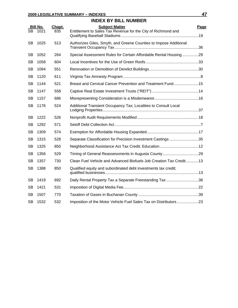|           | <b>INDEX BY BILL NUMBER</b> |               |                                                                                        |      |  |
|-----------|-----------------------------|---------------|----------------------------------------------------------------------------------------|------|--|
| SB.       | <b>Bill No.</b><br>1021     | Chapt.<br>835 | <b>Subject Matter</b><br>Entitlement to Sales Tax Revenue for the City of Richmond and | Page |  |
| <b>SB</b> | 1025                        | 513           | Authorizes Giles, Smyth, and Greene Counties to Impose Additional                      |      |  |
| <b>SB</b> | 1052                        | 264           | Special Assessment Rules for Certain Affordable Rental Housing29                       |      |  |
| <b>SB</b> | 1058                        | 604           |                                                                                        |      |  |
| <b>SB</b> | 1094                        | 551           |                                                                                        |      |  |
| <b>SB</b> | 1120                        | 611           |                                                                                        |      |  |
| <b>SB</b> | 1144                        | 521           | Breast and Cervical Cancer Prevention and Treatment Fund15                             |      |  |
| <b>SB</b> | 1147                        | 558           |                                                                                        |      |  |
| <b>SB</b> | 1157                        | 686           |                                                                                        |      |  |
| <b>SB</b> | 1176                        | 524           | Additional Transient Occupancy Tax; Localities to Consult Local                        |      |  |
| SB        | 1222                        | 526           |                                                                                        |      |  |
| <b>SB</b> | 1292                        | 571           |                                                                                        |      |  |
| <b>SB</b> | 1309                        | 574           |                                                                                        |      |  |
| <b>SB</b> | 1315                        | 528           | Separate Classification for Precision Investment Castings 35                           |      |  |
| <b>SB</b> | 1325                        | 850           |                                                                                        |      |  |
| <b>SB</b> | 1356                        | 529           |                                                                                        |      |  |
| <b>SB</b> | 1357                        | 730           | Clean Fuel Vehicle and Advanced Biofuels Job Creation Tax Credit13                     |      |  |
| <b>SB</b> | 1388                        | 850           | Qualified equity and subordinated debt investments tax credit;                         |      |  |
| <b>SB</b> | 1419                        | 692           | Daily Rental Property Tax a Separate Freestanding Tax 38                               |      |  |
| <b>SB</b> | 1421                        | 531           |                                                                                        |      |  |
| <b>SB</b> | 1507                        | 770           |                                                                                        |      |  |
| <b>SB</b> | 1532                        | 532           | Imposition of the Motor Vehicle Fuel Sales Tax on Distributors23                       |      |  |
|           |                             |               |                                                                                        |      |  |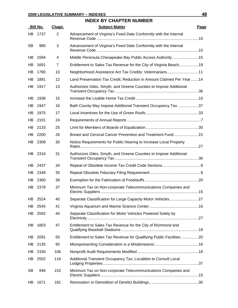## **2009 LEGISLATIVE SUMMARY – INDEXES 48 INDEX BY CHAPTER NUMBER Bill No. Chapt. Subject Matter Page** HB 1737 2 Advancement of Virginia's Fixed Date Conformity with the Internal Revenue Code ...............................................................................................10 SB 985 3 Advancement of Virginia's Fixed Date Conformity with the Internal Revenue Code ...............................................................................................10 HB 1594 4 Middle Peninsula Chesapeake Bay Public Access Authority ........................15 HB 1691 7 Entitlement to Sales Tax Revenue for the City of Virginia Beach..................19 HB 1790 10 Neighborhood Assistance Act Tax Credits; Veterinarians..........................11 HB 1891 12 Land Preservation Tax Credit; Reduction in Amount Claimed Per Year.......14 HB 1917 13 Authorizes Giles, Smyth, and Greene Counties to Impose Additional Transient Occupancy Tax..............................................................................36 HB 1938 15 Increase the Livable Home Tax Credit ..........................................................10 HB 1947 16 Bath County May Impose Additional Transient Occupancy Tax ..................37 HB 1975 17 Local Incentives for the Use of Green Roofs.................................................33 HB 2101 24 Requirements of Annual Reports ....................................................................7 HB 2133 25 Limit for Members of Boards of Equalization.................................................30 HB 2200 26 Breast and Cervical Cancer Prevention and Treatment Fund.......................15 HB 2308 30 Notice Requirements for Public Hearing to Increase Local Property Rates..............................................................................................................27 HB 2316 31 Authorizes Giles, Smyth, and Greene Counties to Impose Additional Transient Occupancy Tax..............................................................................36 HB 2437 34 Repeal of Obsolete Income Tax Credit Code Sections ...................................9 HB 2348 35 Repeal Obsolete Fiduciary Filing Requirement ...............................................9 HB 2360 36 Exemption for the Fabrication of Foodstuffs ..................................................20 HB 2378 37 Minimum Tax on Non-corporate Telecommunications Companies and Electric Suppliers ...........................................................................................15 HB 2524 40 Separate Classification for Large Capacity Motor Vehicles...........................27 HB 2545 41 Virginia Aquarium and Marine Science Center..............................................16 HB 2592 44 Separate Classification for Motor Vehicles Powered Solely by Electricity........................................................................................................27 HB 1803 47 Entitlement to Sales Tax Revenue for the City of Richmond and

|     | HB 2592 | 44  | Separate Classification for Motor Vehicles Powered Solely by        |  |
|-----|---------|-----|---------------------------------------------------------------------|--|
| HB. | 1803    | 47  | Entitlement to Sales Tax Revenue for the City of Richmond and       |  |
|     | HB 2091 | 93  | Entitlement to Sales Tax Revenue for Qualifying Public Facilities20 |  |
|     | HB 2135 | 95  |                                                                     |  |
|     | HB 2330 | 106 |                                                                     |  |
|     | HB 2502 | 116 | Additional Transient Occupancy Tax; Localities to Consult Local     |  |
| SВ  | 946     | 152 | Minimum Tax on Non-corporate Telecommunications Companies and       |  |
| HB. | 1671    | 181 |                                                                     |  |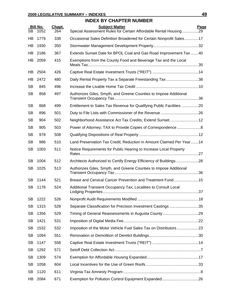#### **INDEX BY CHAPTER NUMBER**

| <b>SB</b> | <b>Bill No.</b><br>1052 | Chapt.<br>264 | <b>Subject Matter</b><br>Special Assessment Rules for Certain Affordable Rental Housing29 | Page |
|-----------|-------------------------|---------------|-------------------------------------------------------------------------------------------|------|
| HВ        | 1779                    | 338           | Occasional Sales Definition Broadened for Certain Nonprofit Sales17                       |      |
| HB        | 1930                    | 350           |                                                                                           |      |
| HB        | 2186                    | 367           | Extends Sunset Date for BPOL Coal and Gas Road Improvement Tax 40                         |      |
| HB        | 2059                    | 415           | Exemptions from the County Food and Beverage Tax and the Local                            |      |
| HB        | 2504                    | 426           |                                                                                           |      |
| HB        | 2472                    | 480           | Daily Rental Property Tax a Separate Freestanding Tax 38                                  |      |
| <b>SB</b> | 845                     | 496           |                                                                                           |      |
| <b>SB</b> | 858                     | 497           | Authorizes Giles, Smyth, and Greene Counties to Impose Additional                         |      |
| <b>SB</b> | 868                     | 499           | Entitlement to Sales Tax Revenue for Qualifying Public Facilities 20                      |      |
| <b>SB</b> | 896                     | 501           |                                                                                           |      |
| <b>SB</b> | 904                     | 502           | Neighborhood Assistance Act Tax Credits; Extend Sunset12                                  |      |
| <b>SB</b> | 905                     | 503           |                                                                                           |      |
| <b>SB</b> | 978                     | 508           |                                                                                           |      |
| <b>SB</b> | 986                     | 510           | Land Preservation Tax Credit; Reduction in Amount Claimed Per Year14                      |      |
| <b>SB</b> | 1003                    | 511           | Notice Requirements for Public Hearing to Increase Local Property                         |      |
| <b>SB</b> | 1004                    | 512           | Architects Authorized to Certify Energy Efficiency of Buildings28                         |      |
| <b>SB</b> | 1025                    | 513           | Authorizes Giles, Smyth, and Greene Counties to Impose Additional                         |      |
| <b>SB</b> | 1144                    | 521           | Breast and Cervical Cancer Prevention and Treatment Fund15                                |      |
| <b>SB</b> | 1176                    | 524           | Additional Transient Occupancy Tax; Localities to Consult Local                           |      |
| <b>SB</b> | 1222                    | 526           |                                                                                           |      |
| <b>SB</b> | 1315                    | 528           | Separate Classification for Precision Investment Castings35                               |      |
| <b>SB</b> | 1356                    | 529           |                                                                                           |      |
| SB        | 1421                    | 531           |                                                                                           |      |
| <b>SB</b> | 1532                    | 532           | Imposition of the Motor Vehicle Fuel Sales Tax on Distributors23                          |      |
| <b>SB</b> | 1094                    | 551           |                                                                                           |      |
| <b>SB</b> | 1147                    | 558           |                                                                                           |      |
| <b>SB</b> | 1292                    | 571           |                                                                                           |      |
| <b>SB</b> | 1309                    | 574           |                                                                                           |      |
| <b>SB</b> | 1058                    | 604           |                                                                                           |      |
| <b>SB</b> | 1120                    | 611           |                                                                                           |      |
| HB        | 2084                    | 671           |                                                                                           |      |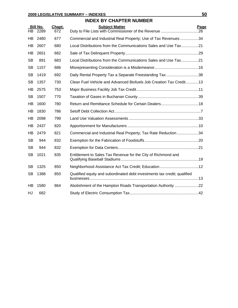## **INDEX BY CHAPTER NUMBER**

|           | <b>Bill No.</b> | Chapt. | <b>Subject Matter</b>                                                    | Page |
|-----------|-----------------|--------|--------------------------------------------------------------------------|------|
| HB.       | 2289            | 672    |                                                                          |      |
| HB.       | 2480            | 677    | Commercial and Industrial Real Property; Use of Tax Revenues34           |      |
| HB        | 2607            | 680    | Local Distributions from the Communications Sales and Use Tax21          |      |
| HB        | 2651            | 682    |                                                                          |      |
| <b>SB</b> | 891             | 683    | Local Distributions from the Communications Sales and Use Tax21          |      |
| <b>SB</b> | 1157            | 686    |                                                                          |      |
| <b>SB</b> | 1419            | 692    | Daily Rental Property Tax a Separate Freestanding Tax 38                 |      |
| <b>SB</b> | 1357            | 730    | Clean Fuel Vehicle and Advanced Biofuels Job Creation Tax Credit13       |      |
| <b>HB</b> | 2575            | 753    |                                                                          |      |
| <b>SB</b> | 1507            | 770    |                                                                          |      |
| <b>HB</b> | 1600            | 780    | Return and Remittance Schedule for Certain Dealers18                     |      |
| HB        | 1830            | 786    |                                                                          |      |
| HB        | 2098            | 799    |                                                                          |      |
| <b>HB</b> | 2437            | 820    |                                                                          |      |
| HB.       | 2479            | 821    | Commercial and Industrial Real Property; Tax Rate Reduction34            |      |
| <b>SB</b> | 944             | 832    |                                                                          |      |
| <b>SB</b> | 944             | 832    |                                                                          |      |
| SB        | 1021            | 835    | Entitlement to Sales Tax Revenue for the City of Richmond and            |      |
| SB        | 1325            | 850    |                                                                          |      |
| <b>SB</b> | 1388            | 850    | Qualified equity and subordinated debt investments tax credit; qualified |      |
| <b>HB</b> | 1580            | 864    |                                                                          |      |
| HJ        | 682             |        |                                                                          |      |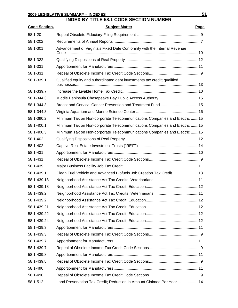## **INDEX BY TITLE 58.1 CODE SECTION NUMBER**

| <b>Code Section.</b> | <b>Subject Matter</b>                                                     | Page |
|----------------------|---------------------------------------------------------------------------|------|
| 58.1-20              |                                                                           |      |
| 58.1-202             |                                                                           |      |
| 58.1-301             | Advancement of Virginia's Fixed Date Conformity with the Internal Revenue |      |
| 58.1-322             |                                                                           |      |
| 58.1-331             |                                                                           |      |
| 58.1-331             |                                                                           |      |
| 58.1-339.1           | Qualified equity and subordinated debt investments tax credit; qualified  |      |
| 58.1-339.7           |                                                                           |      |
| 58.1-344.3           | Middle Peninsula Chesapeake Bay Public Access Authority15                 |      |
| 58.1-344.3           | Breast and Cervical Cancer Prevention and Treatment Fund 15               |      |
| 58.1-344.3           |                                                                           |      |
| 58.1-390.2           | Minimum Tax on Non-corporate Telecommunications Companies and Electric 15 |      |
| 58.1-400.1           | Minimum Tax on Non-corporate Telecommunications Companies and Electric 15 |      |
| 58.1-400.3           | Minimum Tax on Non-corporate Telecommunications Companies and Electric 15 |      |
| 58.1-402             |                                                                           |      |
| 58.1-402             |                                                                           |      |
| 58.1-431             |                                                                           |      |
| 58.1-431             |                                                                           |      |
| 58.1-439             |                                                                           |      |
| 58.1-439.1           | Clean Fuel Vehicle and Advanced Biofuels Job Creation Tax Credit 13       |      |
| 58.1-439.18          |                                                                           |      |
| 58.1-439.18          |                                                                           |      |
| 58.1-439.2           |                                                                           |      |
| 58.1-439.2           |                                                                           |      |
| 58.1-439.21          |                                                                           |      |
| 58.1-439.22          |                                                                           |      |
| 58.1-439.24          |                                                                           |      |
| 58.1-439.3           |                                                                           |      |
| 58.1-439.3           |                                                                           |      |
| 58.1-439.7           |                                                                           |      |
| 58.1-439.7           |                                                                           |      |
| 58.1-439.8           |                                                                           |      |
| 58.1-439.8           |                                                                           |      |
| 58.1-490             |                                                                           |      |
| 58.1-490             |                                                                           |      |
| 58.1-512             | Land Preservation Tax Credit; Reduction in Amount Claimed Per Year14      |      |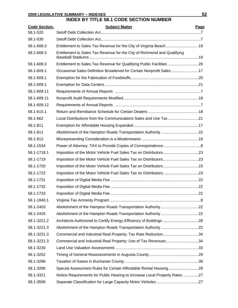## **INDEX BY TITLE 58.1 CODE SECTION NUMBER**

| <b>Code Section.</b> | <b>Subject Matter</b>                                                      | Page |
|----------------------|----------------------------------------------------------------------------|------|
| 58.1-520             |                                                                            |      |
| 58.1-530             |                                                                            |      |
| 58.1-608.3           | Entitlement to Sales Tax Revenue for the City of Virginia Beach 19         |      |
| 58.1-608.3           | Entitlement to Sales Tax Revenue for the City of Richmond and Qualifying   |      |
| 58.1-608.3           | Entitlement to Sales Tax Revenue for Qualifying Public Facilities 20       |      |
| 58.1-609.1           | Occasional Sales Definition Broadened for Certain Nonprofit Sales 17       |      |
| 58.1-609.1           |                                                                            |      |
| 58.1-609.1           |                                                                            |      |
| 58.1-609.11          |                                                                            |      |
| 58.1-609.11          |                                                                            |      |
| 58.1-609.12          |                                                                            |      |
| 58.1-615.1           |                                                                            |      |
| 58.1-662             | Local Distributions from the Communications Sales and Use Tax 21           |      |
| 58.1-811             |                                                                            |      |
| 58.1-811             |                                                                            |      |
| 58.1-812             |                                                                            |      |
| 58.1-1534            |                                                                            |      |
| 58.1-1718.1          |                                                                            |      |
| 58.1-1719            |                                                                            |      |
| 58.1-1720            |                                                                            |      |
| 58.1-1722            |                                                                            |      |
| 58.1-1731            |                                                                            |      |
| 58.1-1732            |                                                                            |      |
| 58.1-1733            |                                                                            |      |
| 58.1-1840.1          |                                                                            |      |
| 58.1-2403            | Abolishment of the Hampton Roads Transportation Authority22                |      |
| 58.1-2425            |                                                                            |      |
| 58.1-3221.2          | Architects Authorized to Certify Energy Efficiency of Buildings 28         |      |
| 58.1-3221.3          | Abolishment of the Hampton Roads Transportation Authority22                |      |
| 58.1-3221.3          | Commercial and Industrial Real Property; Tax Rate Reduction34              |      |
| 58.1-3221.3          | Commercial and Industrial Real Property; Use of Tax Revenues34             |      |
| 58.1-3230            |                                                                            |      |
| 58.1-3252            |                                                                            |      |
| 58.1-3286            |                                                                            |      |
| 58.1-3295            | Special Assessment Rules for Certain Affordable Rental Housing29           |      |
| 58.1-3321            | Notice Requirements for Public Hearing to Increase Local Property Rates 27 |      |
| 58.1-3506            |                                                                            |      |